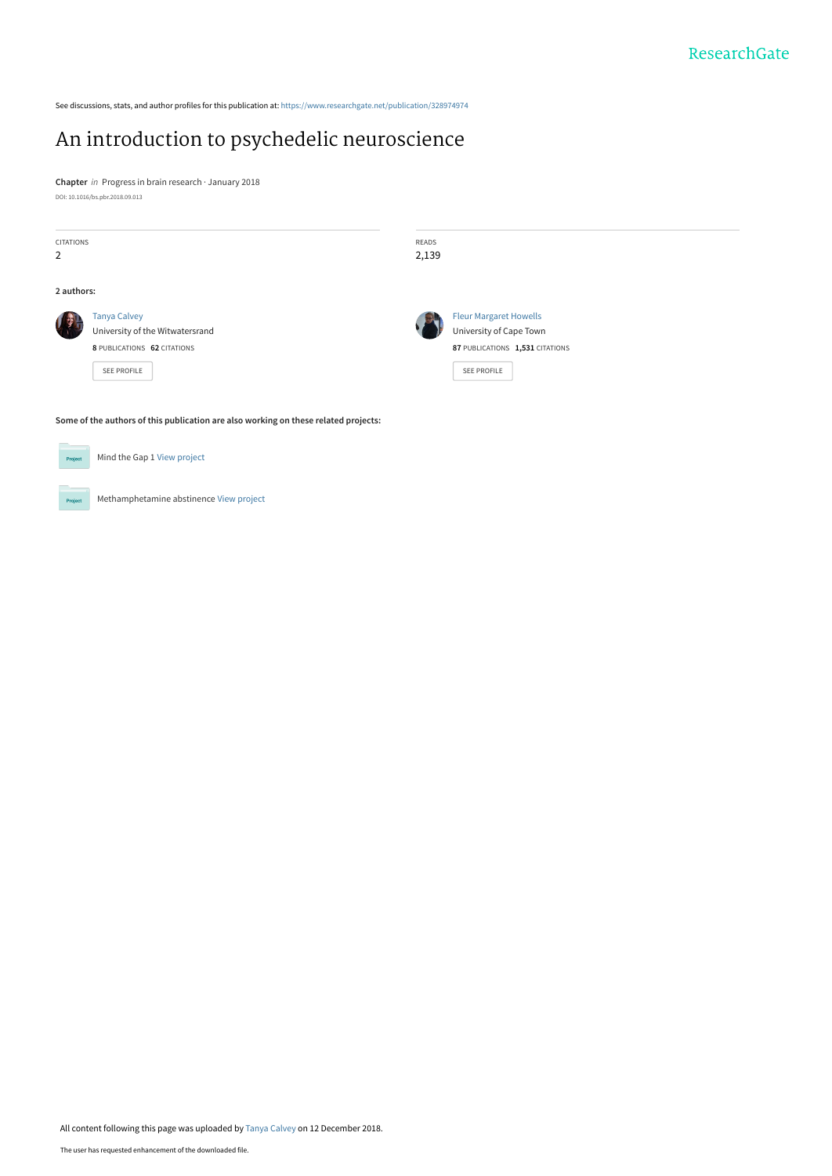See discussions, stats, and author profiles for this publication at: [https://www.researchgate.net/publication/328974974](https://www.researchgate.net/publication/328974974_An_introduction_to_psychedelic_neuroscience?enrichId=rgreq-a8d1fddc8153be71769f86c416c08d2e-XXX&enrichSource=Y292ZXJQYWdlOzMyODk3NDk3NDtBUzo3MDI5NTgwMjcxNTM0MDlAMTU0NDYwOTY2MjEwOA%3D%3D&el=1_x_2&_esc=publicationCoverPdf)

## [An introduction to psychedelic neuroscience](https://www.researchgate.net/publication/328974974_An_introduction_to_psychedelic_neuroscience?enrichId=rgreq-a8d1fddc8153be71769f86c416c08d2e-XXX&enrichSource=Y292ZXJQYWdlOzMyODk3NDk3NDtBUzo3MDI5NTgwMjcxNTM0MDlAMTU0NDYwOTY2MjEwOA%3D%3D&el=1_x_3&_esc=publicationCoverPdf)

**Chapter** in Progress in brain research · January 2018 DOI: 10.1016/bs.pbr.2018.09.013

| <b>CITATIONS</b><br>2                                                               |                                                                                      | READS<br>2,139 |                                                                           |
|-------------------------------------------------------------------------------------|--------------------------------------------------------------------------------------|----------------|---------------------------------------------------------------------------|
| 2 authors:                                                                          | <b>Tanya Calvey</b>                                                                  |                | <b>Fleur Margaret Howells</b>                                             |
|                                                                                     | University of the Witwatersrand<br>8 PUBLICATIONS 62 CITATIONS<br><b>SEE PROFILE</b> |                | University of Cape Town<br>87 PUBLICATIONS 1,531 CITATIONS<br>SEE PROFILE |
| Some of the authors of this publication are also working on these related projects: |                                                                                      |                |                                                                           |



Project

Methamphetamine abstinence [View project](https://www.researchgate.net/project/Methamphetamine-abstinence?enrichId=rgreq-a8d1fddc8153be71769f86c416c08d2e-XXX&enrichSource=Y292ZXJQYWdlOzMyODk3NDk3NDtBUzo3MDI5NTgwMjcxNTM0MDlAMTU0NDYwOTY2MjEwOA%3D%3D&el=1_x_9&_esc=publicationCoverPdf)

Mind the Gap 1 [View project](https://www.researchgate.net/project/Mind-the-Gap-1?enrichId=rgreq-a8d1fddc8153be71769f86c416c08d2e-XXX&enrichSource=Y292ZXJQYWdlOzMyODk3NDk3NDtBUzo3MDI5NTgwMjcxNTM0MDlAMTU0NDYwOTY2MjEwOA%3D%3D&el=1_x_9&_esc=publicationCoverPdf)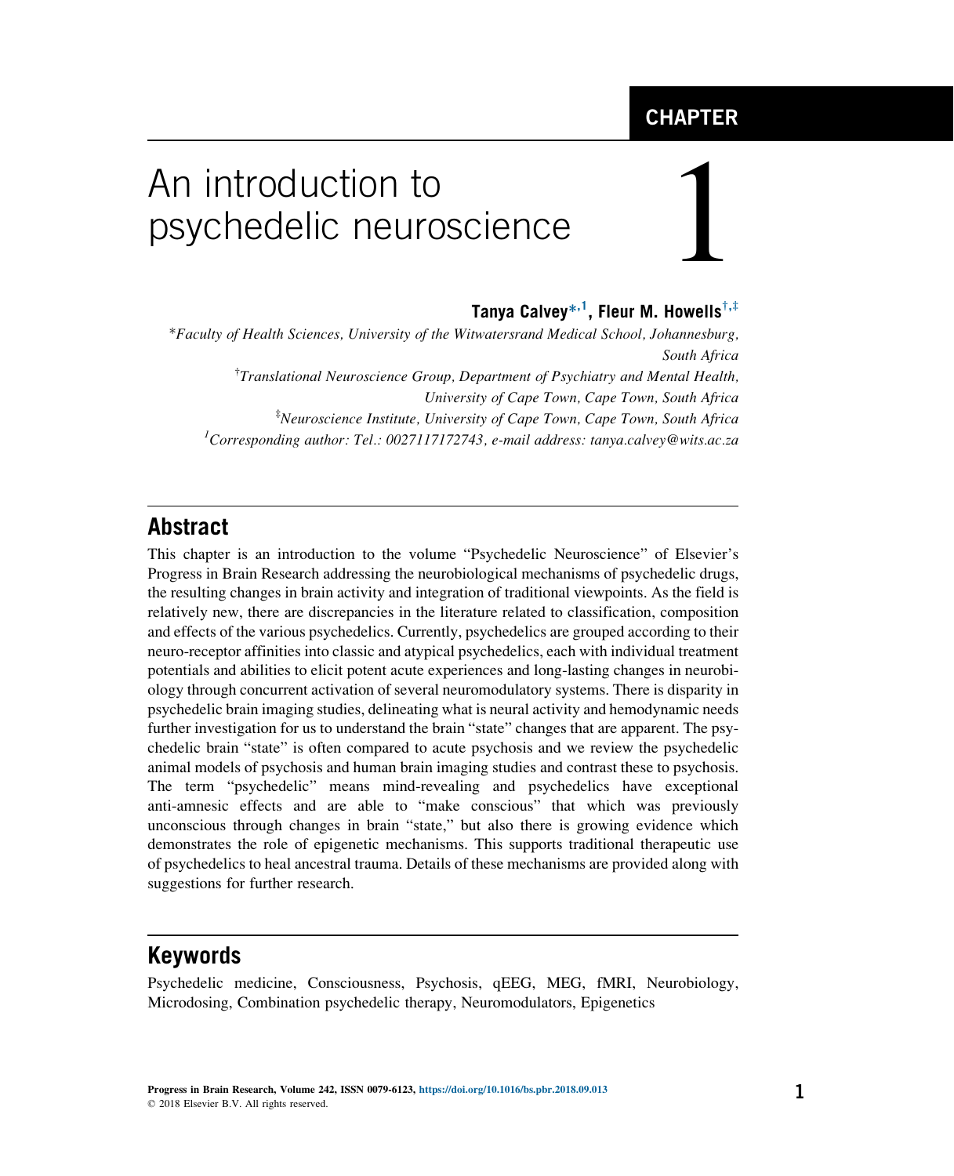# An introduction to psychedelic neuroscience 1



#### Tanya Calvey\*,<sup>1</sup>, Fleur M. Howells<sup>†,‡</sup>

\*Faculty of Health Sciences, University of the Witwatersrand Medical School, Johannesburg, South Africa † Translational Neuroscience Group, Department of Psychiatry and Mental Health, University of Cape Town, Cape Town, South Africa ‡ Neuroscience Institute, University of Cape Town, Cape Town, South Africa <sup>1</sup>Corresponding author: Tel.: 0027117172743, e-mail address: tanya.calvey@wits.ac.za

#### Abstract

This chapter is an introduction to the volume "Psychedelic Neuroscience" of Elsevier's Progress in Brain Research addressing the neurobiological mechanisms of psychedelic drugs, the resulting changes in brain activity and integration of traditional viewpoints. As the field is relatively new, there are discrepancies in the literature related to classification, composition and effects of the various psychedelics. Currently, psychedelics are grouped according to their neuro-receptor affinities into classic and atypical psychedelics, each with individual treatment potentials and abilities to elicit potent acute experiences and long-lasting changes in neurobiology through concurrent activation of several neuromodulatory systems. There is disparity in psychedelic brain imaging studies, delineating what is neural activity and hemodynamic needs further investigation for us to understand the brain "state" changes that are apparent. The psychedelic brain "state" is often compared to acute psychosis and we review the psychedelic animal models of psychosis and human brain imaging studies and contrast these to psychosis. The term "psychedelic" means mind-revealing and psychedelics have exceptional anti-amnesic effects and are able to "make conscious" that which was previously unconscious through changes in brain "state," but also there is growing evidence which demonstrates the role of epigenetic mechanisms. This supports traditional therapeutic use of psychedelics to heal ancestral trauma. Details of these mechanisms are provided along with suggestions for further research.

#### Keywords

Psychedelic medicine, Consciousness, Psychosis, qEEG, MEG, fMRI, Neurobiology, Microdosing, Combination psychedelic therapy, Neuromodulators, Epigenetics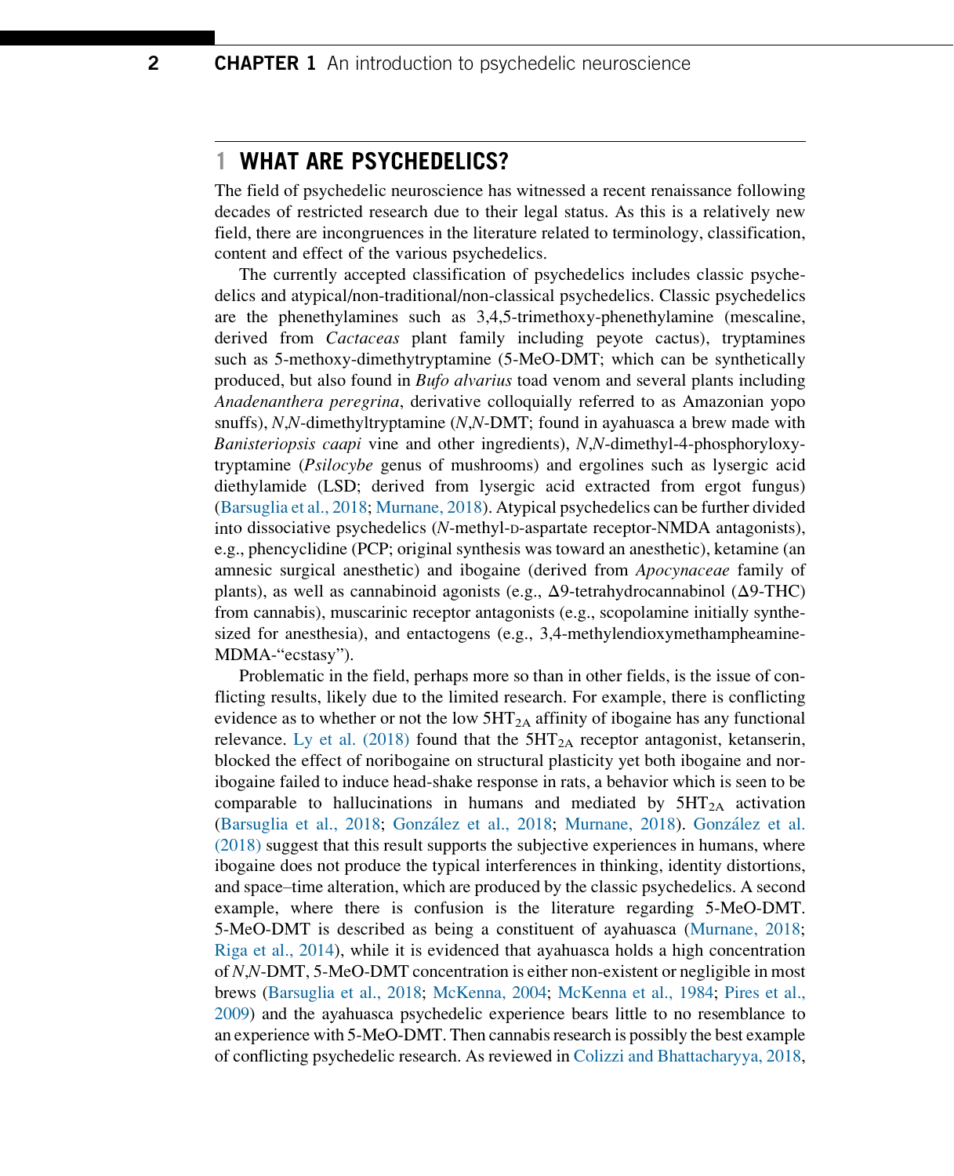#### 1 WHAT ARE PSYCHEDELICS?

The field of psychedelic neuroscience has witnessed a recent renaissance following decades of restricted research due to their legal status. As this is a relatively new field, there are incongruences in the literature related to terminology, classification, content and effect of the various psychedelics.

The currently accepted classification of psychedelics includes classic psychedelics and atypical/non-traditional/non-classical psychedelics. Classic psychedelics are the phenethylamines such as 3,4,5-trimethoxy-phenethylamine (mescaline, derived from Cactaceas plant family including peyote cactus), tryptamines such as 5-methoxy-dimethytryptamine (5-MeO-DMT; which can be synthetically produced, but also found in Bufo alvarius toad venom and several plants including Anadenanthera peregrina, derivative colloquially referred to as Amazonian yopo snuffs), N,N-dimethyltryptamine (N,N-DMT; found in ayahuasca a brew made with Banisteriopsis caapi vine and other ingredients), N,N-dimethyl-4-phosphoryloxytryptamine (Psilocybe genus of mushrooms) and ergolines such as lysergic acid diethylamide (LSD; derived from lysergic acid extracted from ergot fungus) ([Barsuglia et al., 2018](#page-17-0); [Murnane, 2018](#page-21-0)). Atypical psychedelics can be further divided into dissociative psychedelics (N-methyl-D-aspartate receptor-NMDA antagonists), e.g., phencyclidine (PCP; original synthesis was toward an anesthetic), ketamine (an amnesic surgical anesthetic) and ibogaine (derived from Apocynaceae family of plants), as well as cannabinoid agonists (e.g., Δ9-tetrahydrocannabinol (Δ9-THC) from cannabis), muscarinic receptor antagonists (e.g., scopolamine initially synthesized for anesthesia), and entactogens (e.g., 3,4-methylendioxymethampheamine-MDMA-"ecstasy").

Problematic in the field, perhaps more so than in other fields, is the issue of conflicting results, likely due to the limited research. For example, there is conflicting evidence as to whether or not the low  $5HT<sub>2A</sub>$  affinity of ibogaine has any functional relevance. [Ly et al. \(2018\)](#page-20-0) found that the  $5HT<sub>2A</sub>$  receptor antagonist, ketanserin, blocked the effect of noribogaine on structural plasticity yet both ibogaine and noribogaine failed to induce head-shake response in rats, a behavior which is seen to be comparable to hallucinations in humans and mediated by  $5HT<sub>2</sub>$  activation ([Barsuglia et al., 2018;](#page-17-0) González [et al., 2018;](#page-19-0) [Murnane, 2018\)](#page-21-0). González et al. [\(2018\)](#page-19-0) suggest that this result supports the subjective experiences in humans, where ibogaine does not produce the typical interferences in thinking, identity distortions, and space–time alteration, which are produced by the classic psychedelics. A second example, where there is confusion is the literature regarding 5-MeO-DMT. 5-MeO-DMT is described as being a constituent of ayahuasca ([Murnane, 2018](#page-21-0); [Riga et al., 2014](#page-22-0)), while it is evidenced that ayahuasca holds a high concentration of N,N-DMT, 5-MeO-DMT concentration is either non-existent or negligible in most brews ([Barsuglia et al., 2018;](#page-17-0) [McKenna, 2004;](#page-21-0) [McKenna et al., 1984](#page-21-0); [Pires et al.,](#page-22-0) [2009](#page-22-0)) and the ayahuasca psychedelic experience bears little to no resemblance to an experience with 5-MeO-DMT. Then cannabis research is possibly the best example of conflicting psychedelic research. As reviewed in [Colizzi and Bhattacharyya, 2018,](#page-18-0)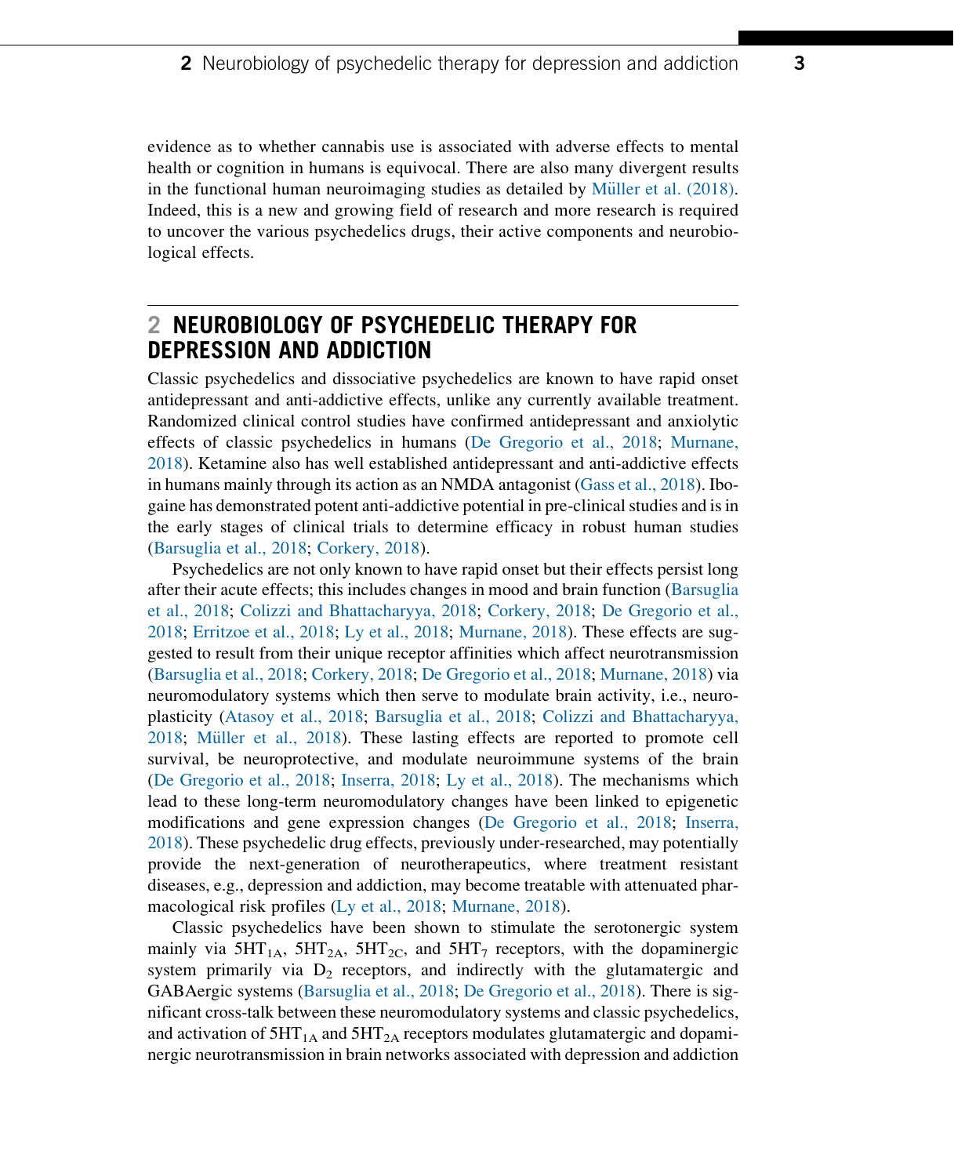evidence as to whether cannabis use is associated with adverse effects to mental health or cognition in humans is equivocal. There are also many divergent results in the functional human neuroimaging studies as detailed by [M](#page-21-0)üller et al.  $(2018)$ . Indeed, this is a new and growing field of research and more research is required to uncover the various psychedelics drugs, their active components and neurobiological effects.

## 2 NEUROBIOLOGY OF PSYCHEDELIC THERAPY FOR DEPRESSION AND ADDICTION

Classic psychedelics and dissociative psychedelics are known to have rapid onset antidepressant and anti-addictive effects, unlike any currently available treatment. Randomized clinical control studies have confirmed antidepressant and anxiolytic effects of classic psychedelics in humans ([De Gregorio et al., 2018](#page-18-0); [Murnane,](#page-21-0) [2018\)](#page-21-0). Ketamine also has well established antidepressant and anti-addictive effects in humans mainly through its action as an NMDA antagonist ([Gass et al., 2018\)](#page-19-0). Ibogaine has demonstrated potent anti-addictive potential in pre-clinical studies and is in the early stages of clinical trials to determine efficacy in robust human studies ([Barsuglia et al., 2018;](#page-17-0) [Corkery, 2018\)](#page-18-0).

Psychedelics are not only known to have rapid onset but their effects persist long after their acute effects; this includes changes in mood and brain function [\(Barsuglia](#page-17-0) et [al., 2018;](#page-17-0) [Colizzi and Bhattacharyya, 2018](#page-18-0); [Corkery, 2018;](#page-18-0) [De Gregorio et al.,](#page-18-0) [2018;](#page-18-0) [Erritzoe et al., 2018;](#page-19-0) [Ly et al., 2018](#page-20-0); [Murnane, 2018](#page-21-0)). These effects are suggested to result from their unique receptor affinities which affect neurotransmission ([Barsuglia et al., 2018](#page-17-0); [Corkery, 2018;](#page-18-0) [De Gregorio et al., 2018;](#page-18-0) [Murnane, 2018\)](#page-21-0) via neuromodulatory systems which then serve to modulate brain activity, i.e., neuroplasticity [\(Atasoy et al., 2018;](#page-17-0) [Barsuglia et al., 2018;](#page-17-0) [Colizzi and Bhattacharyya,](#page-18-0) [2018;](#page-18-0) [M](#page-21-0)üller [et al., 2018](#page-21-0)). These lasting effects are reported to promote cell survival, be neuroprotective, and modulate neuroimmune systems of the brain ([De Gregorio et al., 2018](#page-18-0); [Inserra, 2018;](#page-19-0) [Ly et al., 2018](#page-20-0)). The mechanisms which lead to these long-term neuromodulatory changes have been linked to epigenetic modifications and gene expression changes [\(De Gregorio et al., 2018;](#page-18-0) [Inserra,](#page-19-0) [2018\)](#page-19-0). These psychedelic drug effects, previously under-researched, may potentially provide the next-generation of neurotherapeutics, where treatment resistant diseases, e.g., depression and addiction, may become treatable with attenuated pharmacological risk profiles ([Ly et al., 2018](#page-20-0); [Murnane, 2018\)](#page-21-0).

Classic psychedelics have been shown to stimulate the serotonergic system mainly via  $5HT_{1A}$ ,  $5HT_{2A}$ ,  $5HT_{2C}$ , and  $5HT_{7}$  receptors, with the dopaminergic system primarily via  $D_2$  receptors, and indirectly with the glutamatergic and GABAergic systems ([Barsuglia et al., 2018](#page-17-0); [De Gregorio et al., 2018\)](#page-18-0). There is significant cross-talk between these neuromodulatory systems and classic psychedelics, and activation of  $5HT_{1A}$  and  $5HT_{2A}$  receptors modulates glutamatergic and dopaminergic neurotransmission in brain networks associated with depression and addiction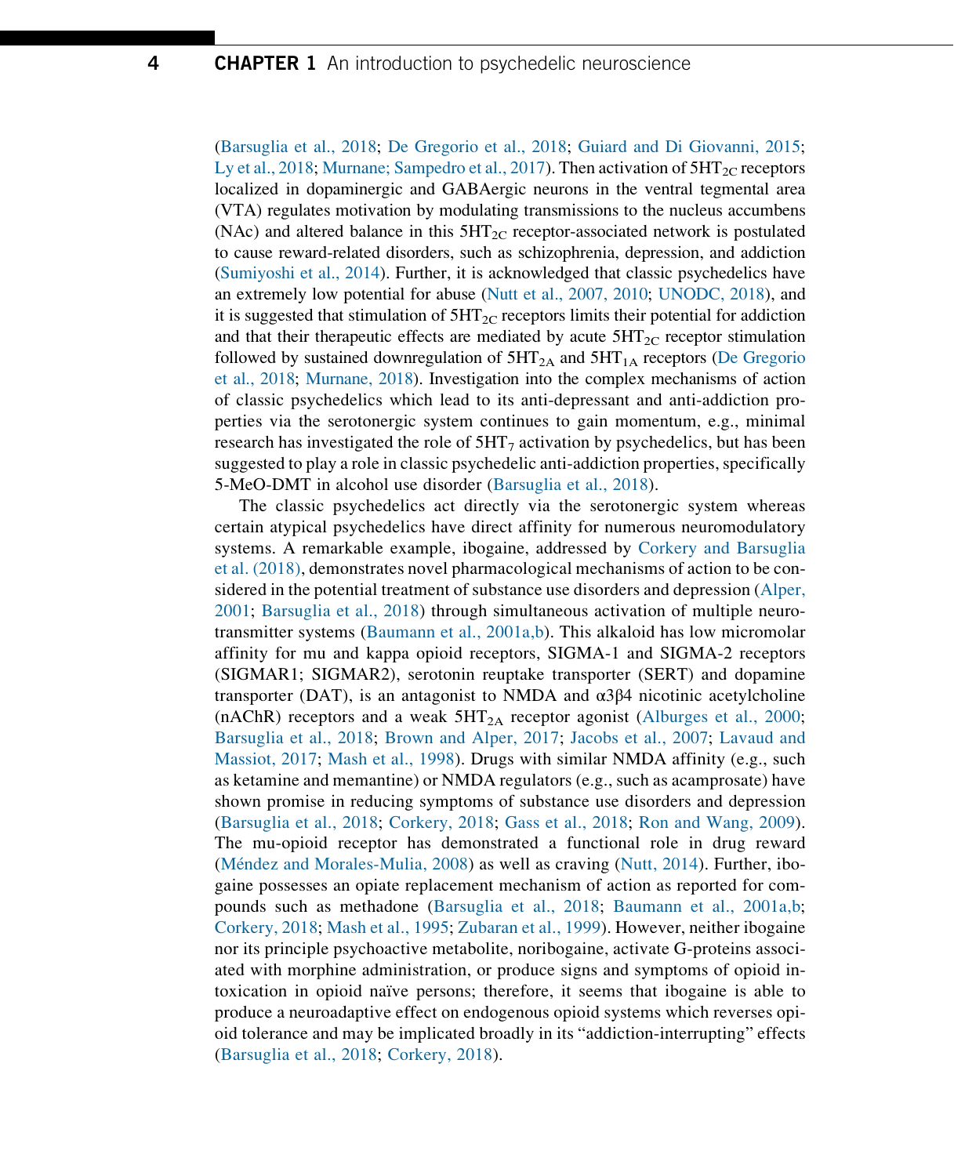([Barsuglia et al., 2018](#page-17-0); [De Gregorio et al., 2018](#page-18-0); [Guiard and Di Giovanni, 2015](#page-19-0); [Ly et al., 2018;](#page-20-0) [Murnane; Sampedro et al., 2017\)](#page-21-0). Then activation of  $5HT_{2C}$  receptors localized in dopaminergic and GABAergic neurons in the ventral tegmental area (VTA) regulates motivation by modulating transmissions to the nucleus accumbens (NAc) and altered balance in this  $5HT_{2C}$  receptor-associated network is postulated to cause reward-related disorders, such as schizophrenia, depression, and addiction ([Sumiyoshi et al., 2014](#page-22-0)). Further, it is acknowledged that classic psychedelics have an extremely low potential for abuse ([Nutt et al., 2007, 2010;](#page-21-0) [UNODC, 2018](#page-23-0)), and it is suggested that stimulation of  $5HT_{2C}$  receptors limits their potential for addiction and that their therapeutic effects are mediated by acute  $5HT_{2C}$  receptor stimulation followed by sustained downregulation of  $5HT<sub>2A</sub>$  and  $5HT<sub>1A</sub>$  receptors [\(De Gregorio](#page-18-0) et [al., 2018;](#page-18-0) [Murnane, 2018\)](#page-21-0). Investigation into the complex mechanisms of action of classic psychedelics which lead to its anti-depressant and anti-addiction properties via the serotonergic system continues to gain momentum, e.g., minimal research has investigated the role of  $5HT<sub>7</sub>$  activation by psychedelics, but has been suggested to play a role in classic psychedelic anti-addiction properties, specifically 5-MeO-DMT in alcohol use disorder [\(Barsuglia et al., 2018](#page-17-0)).

The classic psychedelics act directly via the serotonergic system whereas certain atypical psychedelics have direct affinity for numerous neuromodulatory systems. A remarkable example, ibogaine, addressed by [Corkery and Barsuglia](#page-18-0) et [al. \(2018\)](#page-18-0), demonstrates novel pharmacological mechanisms of action to be considered in the potential treatment of substance use disorders and depression ([Alper,](#page-17-0) [2001;](#page-17-0) [Barsuglia et al., 2018\)](#page-17-0) through simultaneous activation of multiple neurotransmitter systems ([Baumann et al., 2001a,b](#page-17-0)). This alkaloid has low micromolar affinity for mu and kappa opioid receptors, SIGMA-1 and SIGMA-2 receptors (SIGMAR1; SIGMAR2), serotonin reuptake transporter (SERT) and dopamine transporter (DAT), is an antagonist to NMDA and α3β4 nicotinic acetylcholine (nAChR) receptors and a weak  $5HT_{2A}$  receptor agonist ([Alburges et al., 2000](#page-17-0); [Barsuglia et al., 2018;](#page-17-0) [Brown and Alper, 2017;](#page-18-0) [Jacobs et al., 2007](#page-19-0); [Lavaud and](#page-20-0) [Massiot,](#page-20-0) 2017; [Mash et al., 1998\)](#page-20-0). Drugs with similar NMDA affinity (e.g., such as ketamine and memantine) or NMDA regulators (e.g., such as acamprosate) have shown promise in reducing symptoms of substance use disorders and depression ([Barsuglia et al., 2018](#page-17-0); [Corkery, 2018;](#page-18-0) [Gass et al., 2018;](#page-19-0) [Ron and Wang, 2009](#page-22-0)). The mu-opioid receptor has demonstrated a functional role in drug reward ([M](#page-21-0)éndez and Morales-Mulia, 2008) as well as craving ([Nutt, 2014\)](#page-21-0). Further, ibogaine possesses an opiate replacement mechanism of action as reported for compounds such as methadone ([Barsuglia et al., 2018;](#page-17-0) [Baumann et al., 2001a,b](#page-17-0); [Corkery, 2018](#page-18-0); [Mash et al., 1995](#page-20-0); [Zubaran et al., 1999](#page-23-0)). However, neither ibogaine nor its principle psychoactive metabolite, noribogaine, activate G-proteins associated with morphine administration, or produce signs and symptoms of opioid intoxication in opioid naïve persons; therefore, it seems that ibogaine is able to produce a neuroadaptive effect on endogenous opioid systems which reverses opioid tolerance and may be implicated broadly in its "addiction-interrupting" effects ([Barsuglia et al., 2018;](#page-17-0) [Corkery, 2018](#page-18-0)).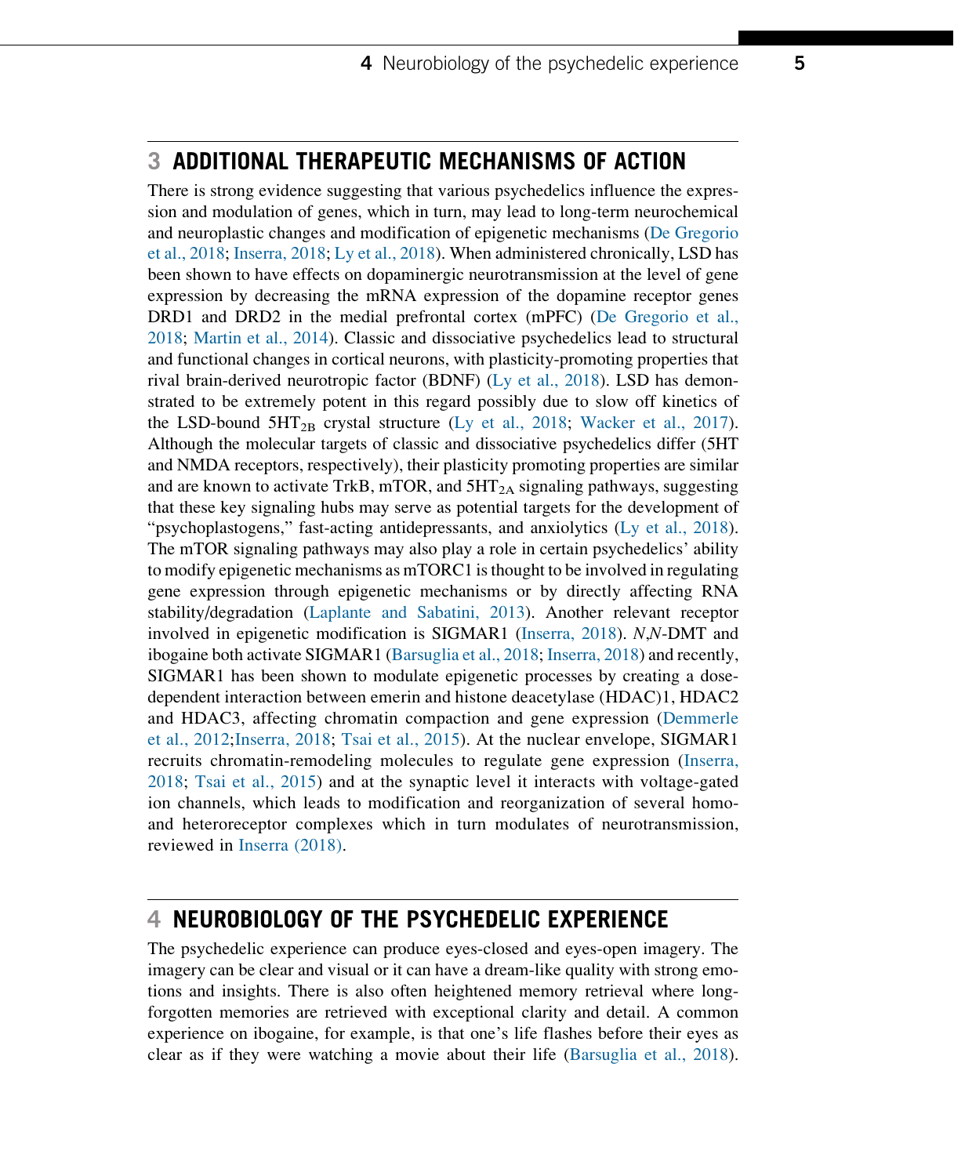#### 3 ADDITIONAL THERAPEUTIC MECHANISMS OF ACTION

There is strong evidence suggesting that various psychedelics influence the expression and modulation of genes, which in turn, may lead to long-term neurochemical and neuroplastic changes and modification of epigenetic mechanisms [\(De Gregorio](#page-18-0) [et al., 2018](#page-18-0); [Inserra, 2018;](#page-19-0) [Ly et al., 2018\)](#page-20-0). When administered chronically, LSD has been shown to have effects on dopaminergic neurotransmission at the level of gene expression by decreasing the mRNA expression of the dopamine receptor genes DRD1 and DRD2 in the medial prefrontal cortex (mPFC) ([De Gregorio et al.,](#page-18-0) [2018;](#page-18-0) [Martin et al., 2014\)](#page-20-0). Classic and dissociative psychedelics lead to structural and functional changes in cortical neurons, with plasticity-promoting properties that rival brain-derived neurotropic factor (BDNF) ([Ly et al., 2018\)](#page-20-0). LSD has demonstrated to be extremely potent in this regard possibly due to slow off kinetics of the LSD-bound  $5HT_{2B}$  crystal structure [\(Ly et al., 2018](#page-20-0); [Wacker et al., 2017\)](#page-23-0). Although the molecular targets of classic and dissociative psychedelics differ (5HT and NMDA receptors, respectively), their plasticity promoting properties are similar and are known to activate TrkB, mTOR, and  $5HT<sub>2A</sub>$  signaling pathways, suggesting that these key signaling hubs may serve as potential targets for the development of "psychoplastogens," fast-acting antidepressants, and anxiolytics [\(Ly et al., 2018\)](#page-20-0). The mTOR signaling pathways may also play a role in certain psychedelics' ability to modify epigenetic mechanisms as mTORC1 is thought to be involved in regulating gene expression through epigenetic mechanisms or by directly affecting RNA stability/degradation [\(Laplante and Sabatini, 2013](#page-20-0)). Another relevant receptor involved in epigenetic modification is SIGMAR1 [\(Inserra, 2018](#page-19-0)). N,N-DMT and ibogaine both activate SIGMAR1 ([Barsuglia et al., 2018](#page-17-0); [Inserra, 2018](#page-19-0)) and recently, SIGMAR1 has been shown to modulate epigenetic processes by creating a dosedependent interaction between emerin and histone deacetylase (HDAC)1, HDAC2 and HDAC3, affecting chromatin compaction and gene expression [\(Demmerle](#page-18-0) [et al., 2012](#page-18-0);[Inserra, 2018;](#page-19-0) [Tsai et al., 2015\)](#page-23-0). At the nuclear envelope, SIGMAR1 recruits chromatin-remodeling molecules to regulate gene expression [\(Inserra,](#page-19-0) [2018](#page-19-0); [Tsai et al., 2015](#page-23-0)) and at the synaptic level it interacts with voltage-gated ion channels, which leads to modification and reorganization of several homoand heteroreceptor complexes which in turn modulates of neurotransmission, reviewed in [Inserra \(2018\).](#page-19-0)

#### 4 NEUROBIOLOGY OF THE PSYCHEDELIC EXPERIENCE

The psychedelic experience can produce eyes-closed and eyes-open imagery. The imagery can be clear and visual or it can have a dream-like quality with strong emotions and insights. There is also often heightened memory retrieval where longforgotten memories are retrieved with exceptional clarity and detail. A common experience on ibogaine, for example, is that one's life flashes before their eyes as clear as if they were watching a movie about their life ([Barsuglia et al., 2018\)](#page-17-0).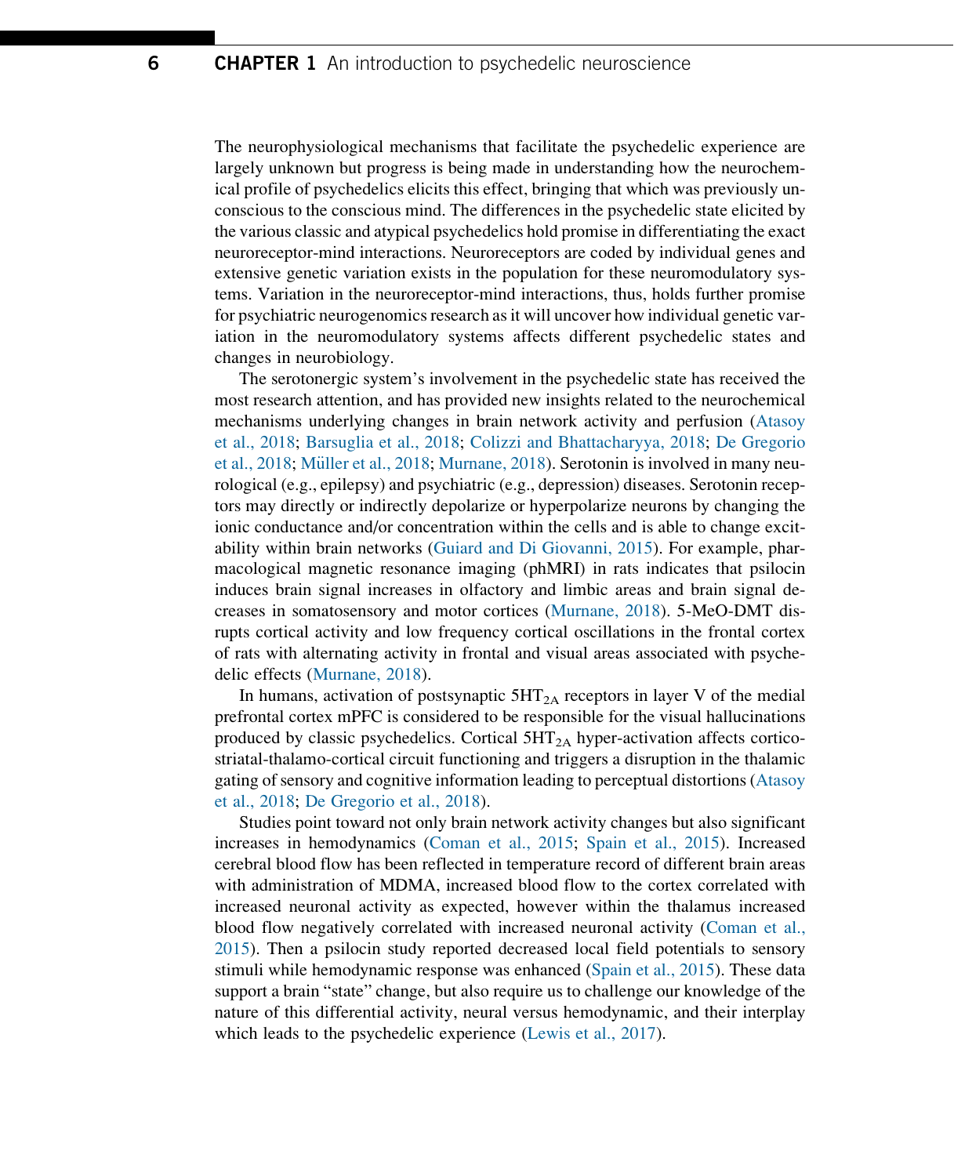The neurophysiological mechanisms that facilitate the psychedelic experience are largely unknown but progress is being made in understanding how the neurochemical profile of psychedelics elicits this effect, bringing that which was previously unconscious to the conscious mind. The differences in the psychedelic state elicited by the various classic and atypical psychedelics hold promise in differentiating the exact neuroreceptor-mind interactions. Neuroreceptors are coded by individual genes and extensive genetic variation exists in the population for these neuromodulatory systems. Variation in the neuroreceptor-mind interactions, thus, holds further promise for psychiatric neurogenomics research as it will uncover how individual genetic variation in the neuromodulatory systems affects different psychedelic states and changes in neurobiology.

The serotonergic system's involvement in the psychedelic state has received the most research attention, and has provided new insights related to the neurochemical mechanisms underlying changes in brain network activity and perfusion ([Atasoy](#page-17-0) et [al., 2018](#page-17-0); [Barsuglia et al., 2018](#page-17-0); [Colizzi and Bhattacharyya, 2018;](#page-18-0) [De Gregorio](#page-18-0) et [al., 2018](#page-18-0); [M](#page-21-0)üller [et al., 2018;](#page-21-0) [Murnane, 2018](#page-21-0)). Serotonin is involved in many neurological (e.g., epilepsy) and psychiatric (e.g., depression) diseases. Serotonin receptors may directly or indirectly depolarize or hyperpolarize neurons by changing the ionic conductance and/or concentration within the cells and is able to change excitability within brain networks ([Guiard and Di Giovanni, 2015\)](#page-19-0). For example, pharmacological magnetic resonance imaging (phMRI) in rats indicates that psilocin induces brain signal increases in olfactory and limbic areas and brain signal decreases in somatosensory and motor cortices ([Murnane, 2018](#page-21-0)). 5-MeO-DMT disrupts cortical activity and low frequency cortical oscillations in the frontal cortex of rats with alternating activity in frontal and visual areas associated with psychedelic effects [\(Murnane, 2018\)](#page-21-0).

In humans, activation of postsynaptic  $5HT<sub>2A</sub>$  receptors in layer V of the medial prefrontal cortex mPFC is considered to be responsible for the visual hallucinations produced by classic psychedelics. Cortical  $5HT<sub>2A</sub>$  hyper-activation affects corticostriatal-thalamo-cortical circuit functioning and triggers a disruption in the thalamic gating of sensory and cognitive information leading to perceptual distortions [\(Atasoy](#page-17-0) et [al., 2018](#page-17-0); [De Gregorio et al., 2018](#page-18-0)).

Studies point toward not only brain network activity changes but also significant increases in hemodynamics [\(Coman et al., 2015;](#page-18-0) [Spain et al., 2015\)](#page-22-0). Increased cerebral blood flow has been reflected in temperature record of different brain areas with administration of MDMA, increased blood flow to the cortex correlated with increased neuronal activity as expected, however within the thalamus increased blood flow negatively correlated with increased neuronal activity ([Coman et al.,](#page-18-0) [2015\)](#page-18-0). Then a psilocin study reported decreased local field potentials to sensory stimuli while hemodynamic response was enhanced [\(Spain et al., 2015\)](#page-22-0). These data support a brain "state" change, but also require us to challenge our knowledge of the nature of this differential activity, neural versus hemodynamic, and their interplay which leads to the psychedelic experience ([Lewis et al., 2017\)](#page-20-0).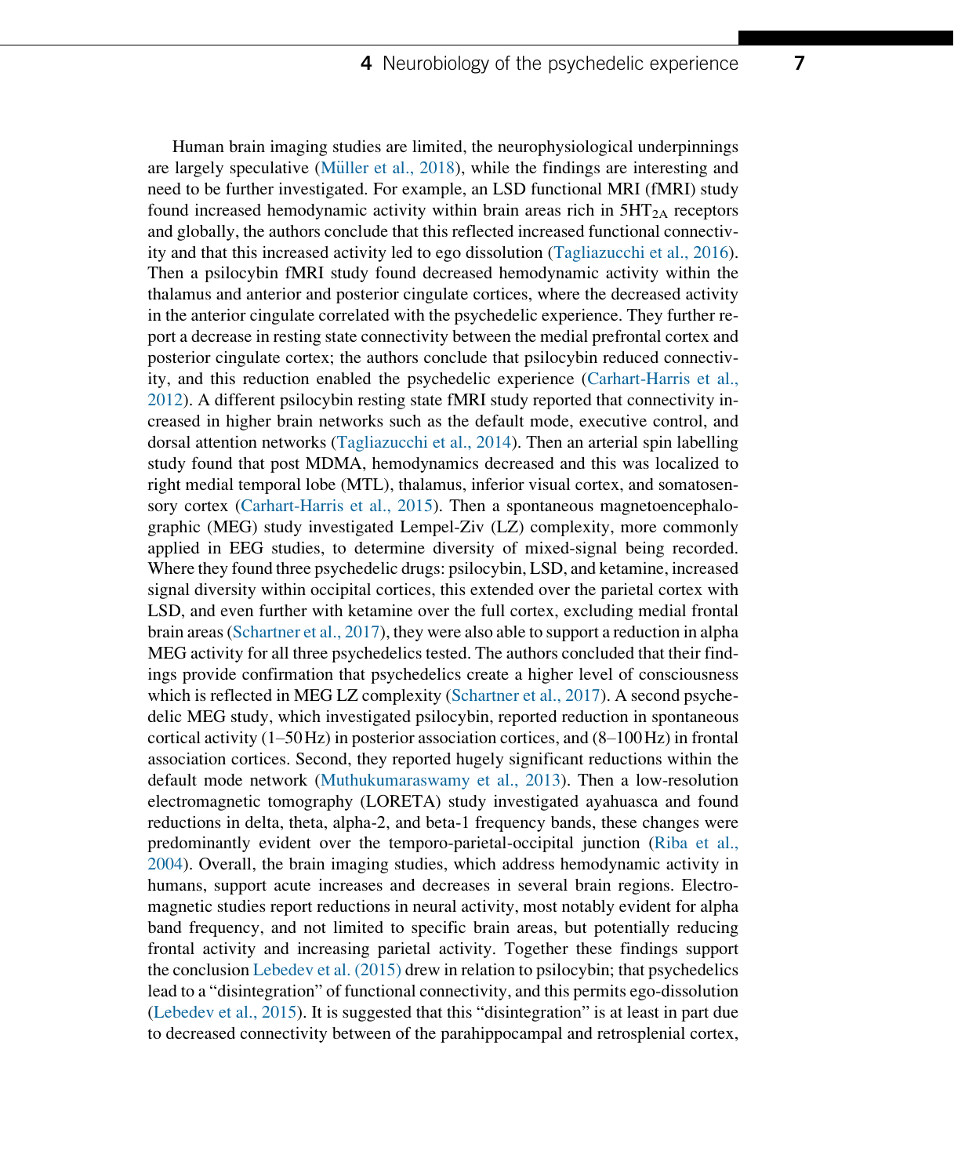Human brain imaging studies are limited, the neurophysiological underpinnings are largely speculative ([M](#page-21-0)üller et al.,  $2018$ ), while the findings are interesting and need to be further investigated. For example, an LSD functional MRI (fMRI) study found increased hemodynamic activity within brain areas rich in  $5HT<sub>2A</sub>$  receptors and globally, the authors conclude that this reflected increased functional connectivity and that this increased activity led to ego dissolution ([Tagliazucchi et al., 2016\)](#page-22-0). Then a psilocybin fMRI study found decreased hemodynamic activity within the thalamus and anterior and posterior cingulate cortices, where the decreased activity in the anterior cingulate correlated with the psychedelic experience. They further report a decrease in resting state connectivity between the medial prefrontal cortex and posterior cingulate cortex; the authors conclude that psilocybin reduced connectivity, and this reduction enabled the psychedelic experience ([Carhart-Harris et al.,](#page-18-0) [2012\)](#page-18-0). A different psilocybin resting state fMRI study reported that connectivity increased in higher brain networks such as the default mode, executive control, and dorsal attention networks ([Tagliazucchi et al., 2014\)](#page-22-0). Then an arterial spin labelling study found that post MDMA, hemodynamics decreased and this was localized to right medial temporal lobe (MTL), thalamus, inferior visual cortex, and somatosensory cortex [\(Carhart-Harris et al., 2015](#page-18-0)). Then a spontaneous magnetoencephalographic (MEG) study investigated Lempel-Ziv (LZ) complexity, more commonly applied in EEG studies, to determine diversity of mixed-signal being recorded. Where they found three psychedelic drugs: psilocybin, LSD, and ketamine, increased signal diversity within occipital cortices, this extended over the parietal cortex with LSD, and even further with ketamine over the full cortex, excluding medial frontal brain areas ([Schartner et al., 2017](#page-22-0)), they were also able to support a reduction in alpha MEG activity for all three psychedelics tested. The authors concluded that their findings provide confirmation that psychedelics create a higher level of consciousness which is reflected in MEG LZ complexity ([Schartner et al., 2017](#page-22-0)). A second psychedelic MEG study, which investigated psilocybin, reported reduction in spontaneous cortical activity  $(1-50 Hz)$  in posterior association cortices, and  $(8-100 Hz)$  in frontal association cortices. Second, they reported hugely significant reductions within the default mode network ([Muthukumaraswamy et al., 2013\)](#page-21-0). Then a low-resolution electromagnetic tomography (LORETA) study investigated ayahuasca and found reductions in delta, theta, alpha-2, and beta-1 frequency bands, these changes were predominantly evident over the temporo-parietal-occipital junction ([Riba et al.,](#page-22-0) [2004\)](#page-22-0). Overall, the brain imaging studies, which address hemodynamic activity in humans, support acute increases and decreases in several brain regions. Electromagnetic studies report reductions in neural activity, most notably evident for alpha band frequency, and not limited to specific brain areas, but potentially reducing frontal activity and increasing parietal activity. Together these findings support the conclusion [Lebedev et al. \(2015\)](#page-20-0) drew in relation to psilocybin; that psychedelics lead to a "disintegration" of functional connectivity, and this permits ego-dissolution ([Lebedev et al., 2015](#page-20-0)). It is suggested that this "disintegration" is at least in part due to decreased connectivity between of the parahippocampal and retrosplenial cortex,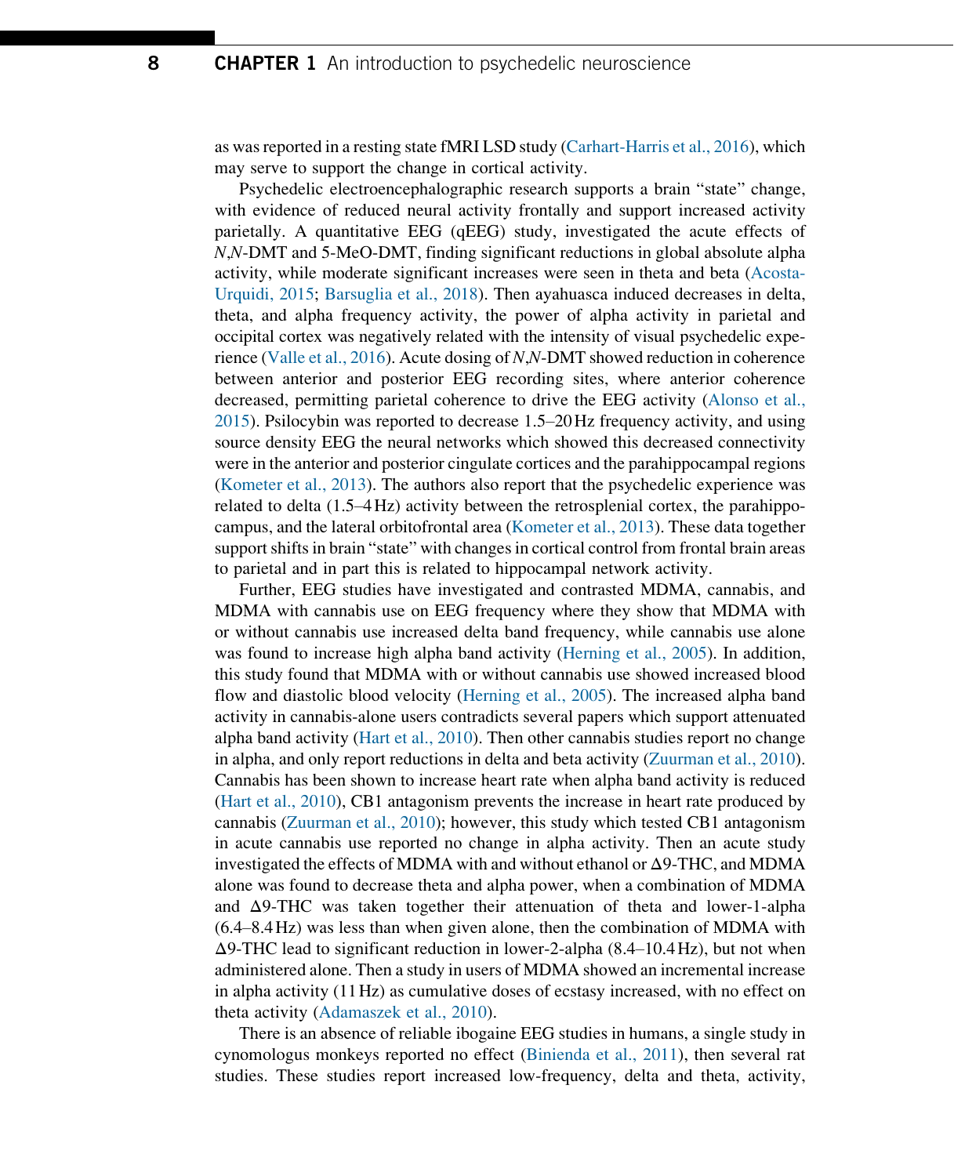as was reported in a resting state fMRI LSD study ([Carhart-Harris et al., 2016](#page-18-0)), which may serve to support the change in cortical activity.

Psychedelic electroencephalographic research supports a brain "state" change, with evidence of reduced neural activity frontally and support increased activity parietally. A quantitative EEG (qEEG) study, investigated the acute effects of N,N-DMT and 5-MeO-DMT, finding significant reductions in global absolute alpha activity, while moderate significant increases were seen in theta and beta [\(Acosta-](#page-16-0)[Urquidi, 2015](#page-16-0); [Barsuglia et al., 2018\)](#page-17-0). Then ayahuasca induced decreases in delta, theta, and alpha frequency activity, the power of alpha activity in parietal and occipital cortex was negatively related with the intensity of visual psychedelic experience [\(Valle et al., 2016](#page-23-0)). Acute dosing of N,N-DMT showed reduction in coherence between anterior and posterior EEG recording sites, where anterior coherence decreased, permitting parietal coherence to drive the EEG activity [\(Alonso et al.,](#page-17-0) [2015\)](#page-17-0). Psilocybin was reported to decrease 1.5–20Hz frequency activity, and using source density EEG the neural networks which showed this decreased connectivity were in the anterior and posterior cingulate cortices and the parahippocampal regions ([Kometer et al., 2013\)](#page-20-0). The authors also report that the psychedelic experience was related to delta (1.5–4 Hz) activity between the retrosplenial cortex, the parahippocampus, and the lateral orbitofrontal area ([Kometer et al., 2013\)](#page-20-0). These data together support shifts in brain "state" with changes in cortical control from frontal brain areas to parietal and in part this is related to hippocampal network activity.

Further, EEG studies have investigated and contrasted MDMA, cannabis, and MDMA with cannabis use on EEG frequency where they show that MDMA with or without cannabis use increased delta band frequency, while cannabis use alone was found to increase high alpha band activity ([Herning et al., 2005](#page-19-0)). In addition, this study found that MDMA with or without cannabis use showed increased blood flow and diastolic blood velocity [\(Herning et al., 2005\)](#page-19-0). The increased alpha band activity in cannabis-alone users contradicts several papers which support attenuated alpha band activity [\(Hart et al., 2010\)](#page-19-0). Then other cannabis studies report no change in alpha, and only report reductions in delta and beta activity ([Zuurman et al., 2010](#page-23-0)). Cannabis has been shown to increase heart rate when alpha band activity is reduced ([Hart et al., 2010](#page-19-0)), CB1 antagonism prevents the increase in heart rate produced by cannabis ([Zuurman et al., 2010\)](#page-23-0); however, this study which tested CB1 antagonism in acute cannabis use reported no change in alpha activity. Then an acute study investigated the effects of MDMA with and without ethanol or Δ9-THC, and MDMA alone was found to decrease theta and alpha power, when a combination of MDMA and Δ9-THC was taken together their attenuation of theta and lower-1-alpha (6.4–8.4 Hz) was less than when given alone, then the combination of MDMA with  $\Delta$ 9-THC lead to significant reduction in lower-2-alpha (8.4–10.4 Hz), but not when administered alone. Then a study in users of MDMA showed an incremental increase in alpha activity (11 Hz) as cumulative doses of ecstasy increased, with no effect on theta activity ([Adamaszek et al., 2010\)](#page-16-0).

There is an absence of reliable ibogaine EEG studies in humans, a single study in cynomologus monkeys reported no effect [\(Binienda et al., 2011](#page-17-0)), then several rat studies. These studies report increased low-frequency, delta and theta, activity,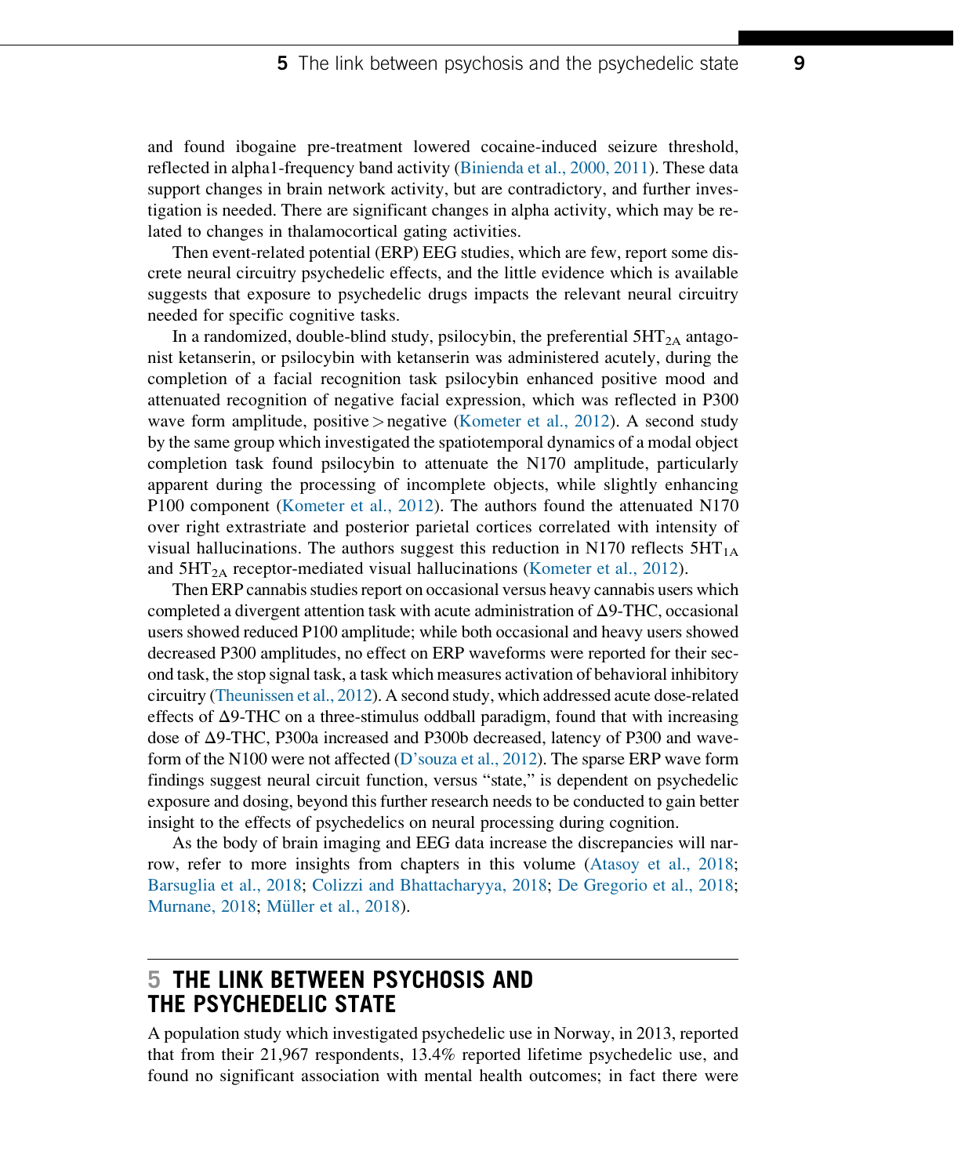and found ibogaine pre-treatment lowered cocaine-induced seizure threshold, reflected in alpha1-frequency band activity ([Binienda et al., 2000, 2011\)](#page-17-0). These data support changes in brain network activity, but are contradictory, and further investigation is needed. There are significant changes in alpha activity, which may be related to changes in thalamocortical gating activities.

Then event-related potential (ERP) EEG studies, which are few, report some discrete neural circuitry psychedelic effects, and the little evidence which is available suggests that exposure to psychedelic drugs impacts the relevant neural circuitry needed for specific cognitive tasks.

In a randomized, double-blind study, psilocybin, the preferential  $5HT<sub>2A</sub>$  antagonist ketanserin, or psilocybin with ketanserin was administered acutely, during the completion of a facial recognition task psilocybin enhanced positive mood and attenuated recognition of negative facial expression, which was reflected in P300 wave form amplitude, positive > negative [\(Kometer et al., 2012](#page-20-0)). A second study by the same group which investigated the spatiotemporal dynamics of a modal object completion task found psilocybin to attenuate the N170 amplitude, particularly apparent during the processing of incomplete objects, while slightly enhancing P100 component ([Kometer et al., 2012\)](#page-20-0). The authors found the attenuated N170 over right extrastriate and posterior parietal cortices correlated with intensity of visual hallucinations. The authors suggest this reduction in N170 reflects  $5HT<sub>1A</sub>$ and  $5HT<sub>2A</sub>$  receptor-mediated visual hallucinations ([Kometer et al., 2012](#page-20-0)).

Then ERP cannabis studies report on occasional versus heavy cannabis users which completed a divergent attention task with acute administration of Δ9-THC, occasional users showed reduced P100 amplitude; while both occasional and heavy users showed decreased P300 amplitudes, no effect on ERP waveforms were reported for their second task, the stop signal task, a task which measures activation of behavioral inhibitory circuitry [\(Theunissen et al., 2012\)](#page-22-0). A second study, which addressed acute dose-related effects of Δ9-THC on a three-stimulus oddball paradigm, found that with increasing dose of Δ9-THC, P300a increased and P300b decreased, latency of P300 and waveform of the N100 were not affected [\(D'souza et al., 2012](#page-18-0)). The sparse ERP wave form findings suggest neural circuit function, versus "state," is dependent on psychedelic exposure and dosing, beyond this further research needs to be conducted to gain better insight to the effects of psychedelics on neural processing during cognition.

As the body of brain imaging and EEG data increase the discrepancies will narrow, refer to more insights from chapters in this volume [\(Atasoy et al., 2018;](#page-17-0) [Barsuglia et al., 2018;](#page-17-0) [Colizzi and Bhattacharyya, 2018](#page-18-0); [De Gregorio et al., 2018;](#page-18-0) [Murnane, 2018](#page-21-0); [M](#page-21-0)üller [et al., 2018\)](#page-21-0).

### 5 THE LINK BETWEEN PSYCHOSIS AND THE PSYCHEDELIC STATE

A population study which investigated psychedelic use in Norway, in 2013, reported that from their 21,967 respondents, 13.4% reported lifetime psychedelic use, and found no significant association with mental health outcomes; in fact there were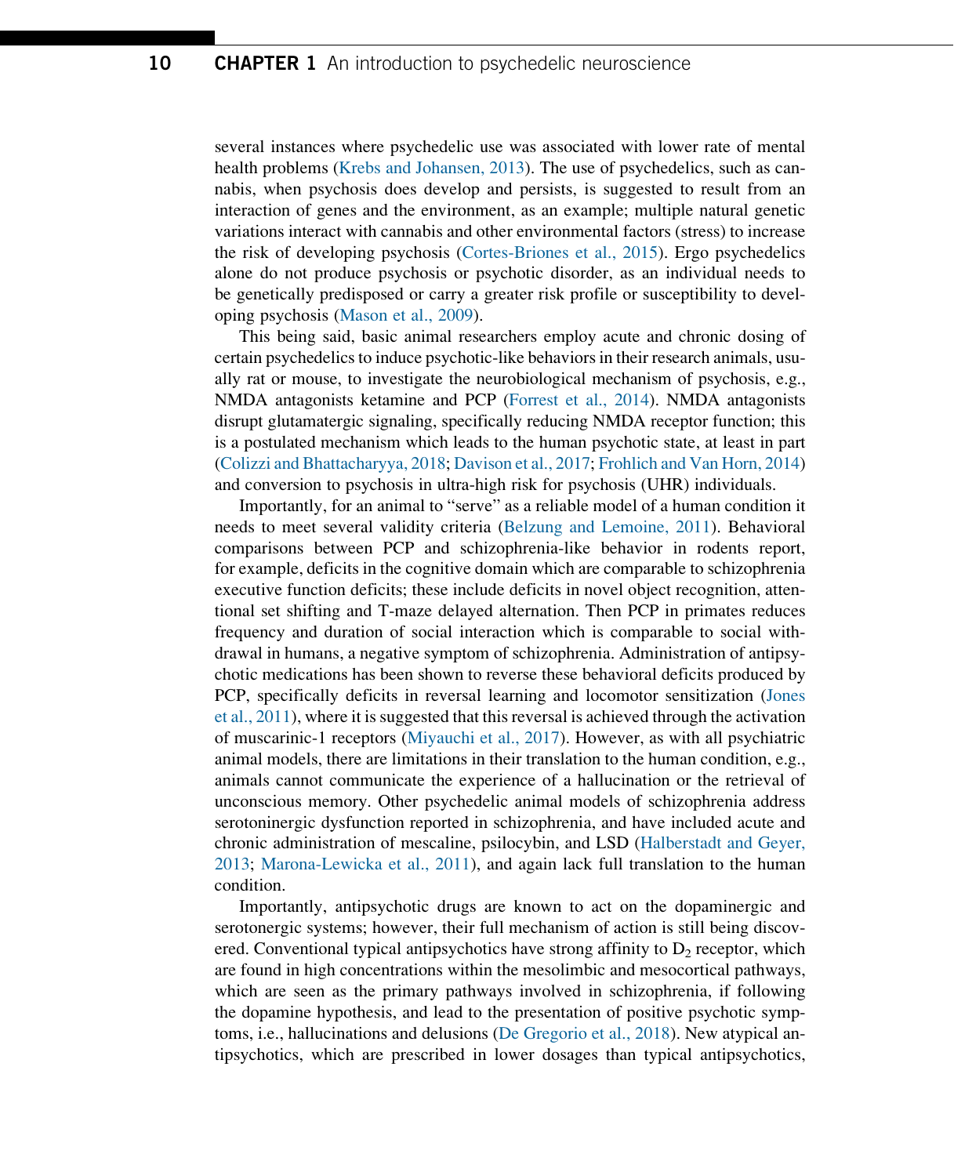several instances where psychedelic use was associated with lower rate of mental health problems ([Krebs and Johansen, 2013](#page-20-0)). The use of psychedelics, such as cannabis, when psychosis does develop and persists, is suggested to result from an interaction of genes and the environment, as an example; multiple natural genetic variations interact with cannabis and other environmental factors (stress) to increase the risk of developing psychosis ([Cortes-Briones et al., 2015\)](#page-18-0). Ergo psychedelics alone do not produce psychosis or psychotic disorder, as an individual needs to be genetically predisposed or carry a greater risk profile or susceptibility to developing psychosis [\(Mason et al., 2009](#page-20-0)).

This being said, basic animal researchers employ acute and chronic dosing of certain psychedelics to induce psychotic-like behaviors in their research animals, usually rat or mouse, to investigate the neurobiological mechanism of psychosis, e.g., NMDA antagonists ketamine and PCP [\(Forrest et al., 2014\)](#page-19-0). NMDA antagonists disrupt glutamatergic signaling, specifically reducing NMDA receptor function; this is a postulated mechanism which leads to the human psychotic state, at least in part ([Colizzi and Bhattacharyya, 2018;](#page-18-0) [Davison et al., 2017](#page-18-0); [Frohlich and Van Horn, 2014\)](#page-19-0) and conversion to psychosis in ultra-high risk for psychosis (UHR) individuals.

Importantly, for an animal to "serve" as a reliable model of a human condition it needs to meet several validity criteria [\(Belzung and Lemoine, 2011\)](#page-17-0). Behavioral comparisons between PCP and schizophrenia-like behavior in rodents report, for example, deficits in the cognitive domain which are comparable to schizophrenia executive function deficits; these include deficits in novel object recognition, attentional set shifting and T-maze delayed alternation. Then PCP in primates reduces frequency and duration of social interaction which is comparable to social withdrawal in humans, a negative symptom of schizophrenia. Administration of antipsychotic medications has been shown to reverse these behavioral deficits produced by PCP, specifically deficits in reversal learning and locomotor sensitization [\(Jones](#page-19-0) et [al., 2011\)](#page-19-0), where it is suggested that this reversal is achieved through the activation of muscarinic-1 receptors ([Miyauchi et al., 2017](#page-21-0)). However, as with all psychiatric animal models, there are limitations in their translation to the human condition, e.g., animals cannot communicate the experience of a hallucination or the retrieval of unconscious memory. Other psychedelic animal models of schizophrenia address serotoninergic dysfunction reported in schizophrenia, and have included acute and chronic administration of mescaline, psilocybin, and LSD ([Halberstadt and Geyer,](#page-19-0) [2013;](#page-19-0) [Marona-Lewicka et al., 2011\)](#page-20-0), and again lack full translation to the human condition.

Importantly, antipsychotic drugs are known to act on the dopaminergic and serotonergic systems; however, their full mechanism of action is still being discovered. Conventional typical antipsychotics have strong affinity to  $D_2$  receptor, which are found in high concentrations within the mesolimbic and mesocortical pathways, which are seen as the primary pathways involved in schizophrenia, if following the dopamine hypothesis, and lead to the presentation of positive psychotic symptoms, i.e., hallucinations and delusions [\(De Gregorio et al., 2018\)](#page-18-0). New atypical antipsychotics, which are prescribed in lower dosages than typical antipsychotics,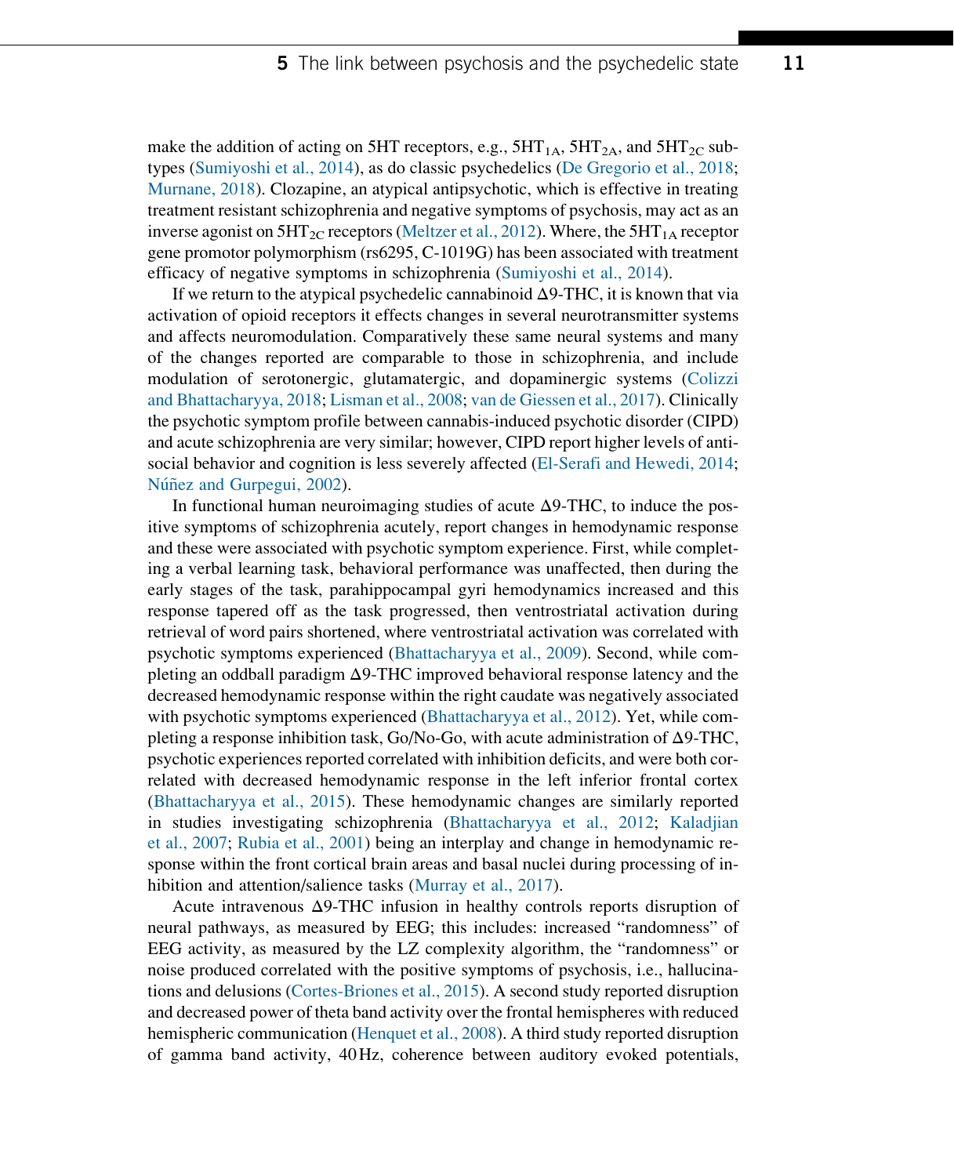make the addition of acting on 5HT receptors, e.g.,  $5HT_{1A}$ ,  $5HT_{2A}$ , and  $5HT_{2C}$  subtypes ([Sumiyoshi et al., 2014](#page-22-0)), as do classic psychedelics [\(De Gregorio et al., 2018;](#page-18-0) [Murnane, 2018\)](#page-21-0). Clozapine, an atypical antipsychotic, which is effective in treating treatment resistant schizophrenia and negative symptoms of psychosis, may act as an inverse agonist on  $5HT_{2C}$  receptors ([Meltzer et al., 2012\)](#page-21-0). Where, the  $5HT_{1A}$  receptor gene promotor polymorphism (rs6295, C-1019G) has been associated with treatment efficacy of negative symptoms in schizophrenia [\(Sumiyoshi et al., 2014](#page-22-0)).

If we return to the atypical psychedelic cannabinoid  $\Delta$ 9-THC, it is known that via activation of opioid receptors it effects changes in several neurotransmitter systems and affects neuromodulation. Comparatively these same neural systems and many of the changes reported are comparable to those in schizophrenia, and include modulation of serotonergic, glutamatergic, and dopaminergic systems [\(Colizzi](#page-18-0) and [Bhattacharyya, 2018](#page-18-0); [Lisman et al., 2008](#page-20-0); [van de Giessen et al., 2017](#page-23-0)). Clinically the psychotic symptom profile between cannabis-induced psychotic disorder (CIPD) and acute schizophrenia are very similar; however, CIPD report higher levels of antisocial behavior and cognition is less severely affected [\(El-Serafi and Hewedi, 2014;](#page-19-0) Núñez [and Gurpegui, 2002](#page-21-0)).

In functional human neuroimaging studies of acute  $\Delta$ 9-THC, to induce the positive symptoms of schizophrenia acutely, report changes in hemodynamic response and these were associated with psychotic symptom experience. First, while completing a verbal learning task, behavioral performance was unaffected, then during the early stages of the task, parahippocampal gyri hemodynamics increased and this response tapered off as the task progressed, then ventrostriatal activation during retrieval of word pairs shortened, where ventrostriatal activation was correlated with psychotic symptoms experienced [\(Bhattacharyya et al., 2009](#page-17-0)). Second, while completing an oddball paradigm Δ9-THC improved behavioral response latency and the decreased hemodynamic response within the right caudate was negatively associated with psychotic symptoms experienced ([Bhattacharyya et al., 2012\)](#page-17-0). Yet, while completing a response inhibition task, Go/No-Go, with acute administration of Δ9-THC, psychotic experiences reported correlated with inhibition deficits, and were both correlated with decreased hemodynamic response in the left inferior frontal cortex ([Bhattacharyya et al., 2015\)](#page-17-0). These hemodynamic changes are similarly reported in studies investigating schizophrenia ([Bhattacharyya et al., 2012](#page-17-0); [Kaladjian](#page-20-0) et [al., 2007;](#page-20-0) [Rubia et al., 2001](#page-22-0)) being an interplay and change in hemodynamic response within the front cortical brain areas and basal nuclei during processing of in-hibition and attention/salience tasks ([Murray et al., 2017](#page-21-0)).

Acute intravenous Δ9-THC infusion in healthy controls reports disruption of neural pathways, as measured by EEG; this includes: increased "randomness" of EEG activity, as measured by the LZ complexity algorithm, the "randomness" or noise produced correlated with the positive symptoms of psychosis, i.e., hallucinations and delusions [\(Cortes-Briones et al., 2015](#page-18-0)). A second study reported disruption and decreased power of theta band activity over the frontal hemispheres with reduced hemispheric communication [\(Henquet et al., 2008](#page-19-0)). A third study reported disruption of gamma band activity, 40 Hz, coherence between auditory evoked potentials,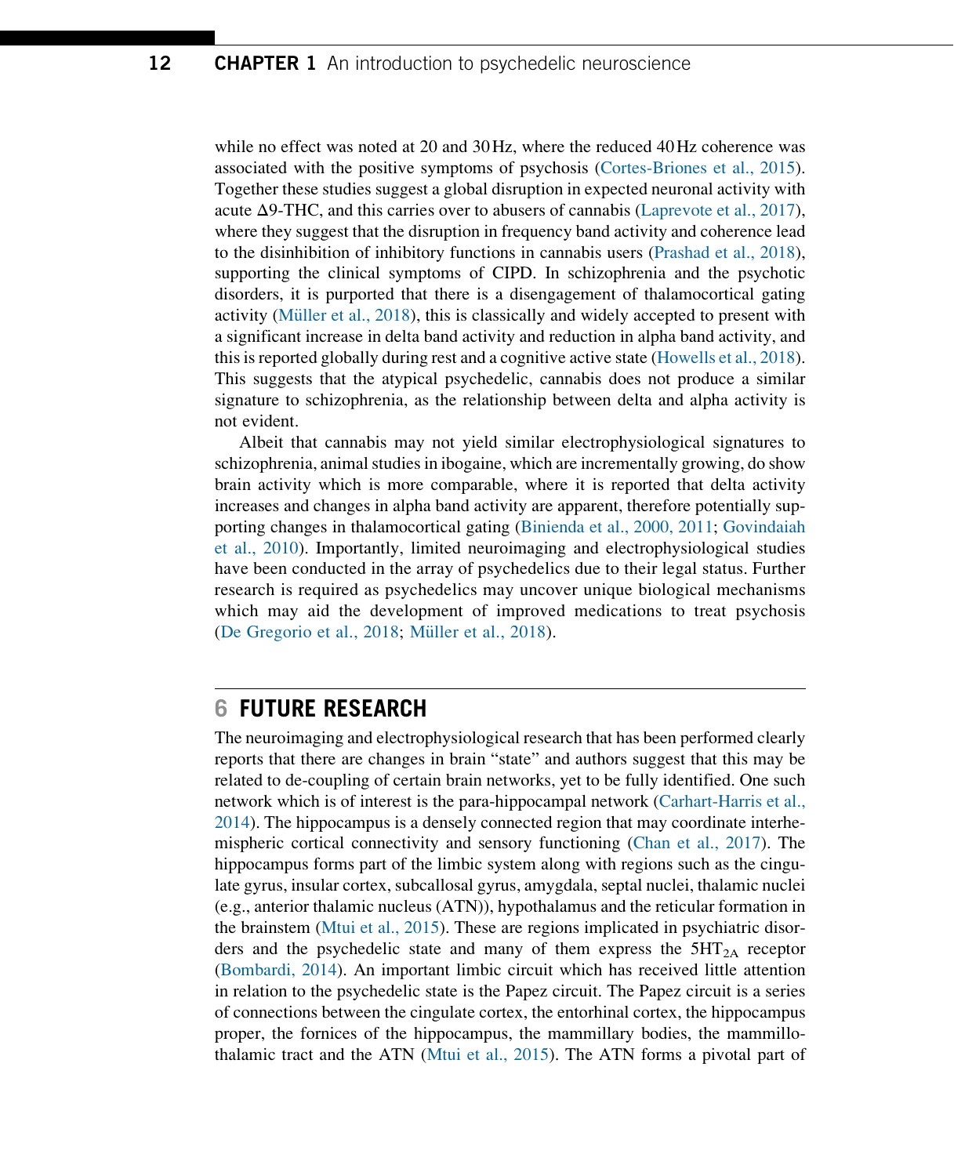while no effect was noted at 20 and 30 Hz, where the reduced 40 Hz coherence was associated with the positive symptoms of psychosis [\(Cortes-Briones et al., 2015](#page-18-0)). Together these studies suggest a global disruption in expected neuronal activity with acute  $\Delta$ 9-THC, and this carries over to abusers of cannabis ([Laprevote et al., 2017](#page-20-0)), where they suggest that the disruption in frequency band activity and coherence lead to the disinhibition of inhibitory functions in cannabis users ([Prashad et al., 2018](#page-22-0)), supporting the clinical symptoms of CIPD. In schizophrenia and the psychotic disorders, it is purported that there is a disengagement of thalamocortical gating activity ([M](#page-21-0)üller et al.,  $2018$ ), this is classically and widely accepted to present with a significant increase in delta band activity and reduction in alpha band activity, and this is reported globally during rest and a cognitive active state [\(Howells et al., 2018](#page-19-0)). This suggests that the atypical psychedelic, cannabis does not produce a similar signature to schizophrenia, as the relationship between delta and alpha activity is not evident.

Albeit that cannabis may not yield similar electrophysiological signatures to schizophrenia, animal studies in ibogaine, which are incrementally growing, do show brain activity which is more comparable, where it is reported that delta activity increases and changes in alpha band activity are apparent, therefore potentially supporting changes in thalamocortical gating ([Binienda et al., 2000, 2011](#page-17-0); [Govindaiah](#page-19-0) et [al., 2010](#page-19-0)). Importantly, limited neuroimaging and electrophysiological studies have been conducted in the array of psychedelics due to their legal status. Further research is required as psychedelics may uncover unique biological mechanisms which may aid the development of improved medications to treat psychosis ([De Gregorio et al., 2018](#page-18-0); [M](#page-21-0)ü[ller et al., 2018](#page-21-0)).

#### 6 FUTURE RESEARCH

The neuroimaging and electrophysiological research that has been performed clearly reports that there are changes in brain "state" and authors suggest that this may be related to de-coupling of certain brain networks, yet to be fully identified. One such network which is of interest is the para-hippocampal network [\(Carhart-Harris et al.,](#page-18-0) [2014\)](#page-18-0). The hippocampus is a densely connected region that may coordinate interhemispheric cortical connectivity and sensory functioning ([Chan et al., 2017\)](#page-18-0). The hippocampus forms part of the limbic system along with regions such as the cingulate gyrus, insular cortex, subcallosal gyrus, amygdala, septal nuclei, thalamic nuclei (e.g., anterior thalamic nucleus (ATN)), hypothalamus and the reticular formation in the brainstem ([Mtui et al., 2015\)](#page-21-0). These are regions implicated in psychiatric disorders and the psychedelic state and many of them express the  $5HT_{2A}$  receptor ([Bombardi, 2014\)](#page-18-0). An important limbic circuit which has received little attention in relation to the psychedelic state is the Papez circuit. The Papez circuit is a series of connections between the cingulate cortex, the entorhinal cortex, the hippocampus proper, the fornices of the hippocampus, the mammillary bodies, the mammillothalamic tract and the ATN ([Mtui et al., 2015\)](#page-21-0). The ATN forms a pivotal part of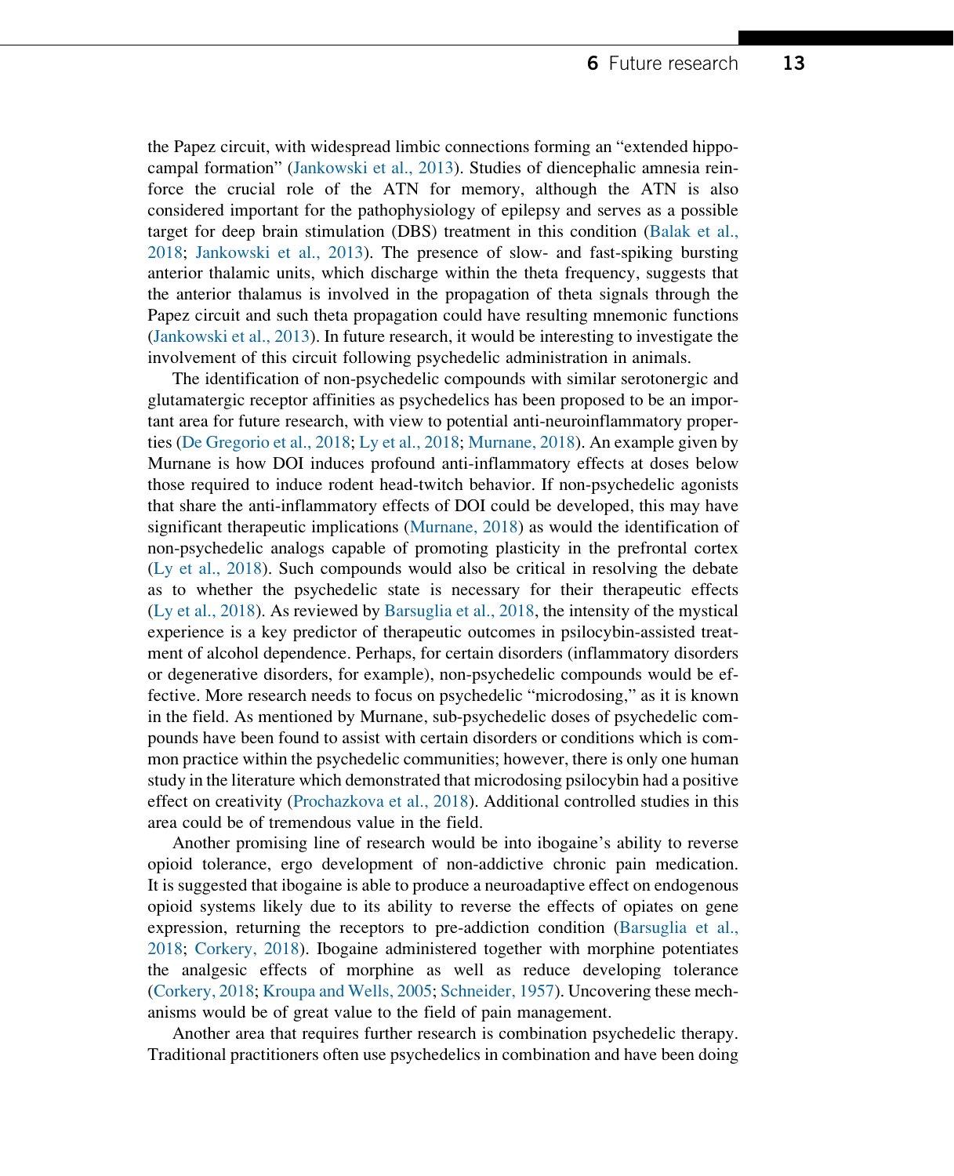the Papez circuit, with widespread limbic connections forming an "extended hippocampal formation" [\(Jankowski et al., 2013\)](#page-19-0). Studies of diencephalic amnesia reinforce the crucial role of the ATN for memory, although the ATN is also considered important for the pathophysiology of epilepsy and serves as a possible target for deep brain stimulation (DBS) treatment in this condition ([Balak et al.,](#page-17-0) [2018;](#page-17-0) [Jankowski et al., 2013\)](#page-19-0). The presence of slow- and fast-spiking bursting anterior thalamic units, which discharge within the theta frequency, suggests that the anterior thalamus is involved in the propagation of theta signals through the Papez circuit and such theta propagation could have resulting mnemonic functions ([Jankowski et al., 2013\)](#page-19-0). In future research, it would be interesting to investigate the involvement of this circuit following psychedelic administration in animals.

The identification of non-psychedelic compounds with similar serotonergic and glutamatergic receptor affinities as psychedelics has been proposed to be an important area for future research, with view to potential anti-neuroinflammatory properties [\(De Gregorio et al., 2018;](#page-18-0) [Ly et al., 2018](#page-20-0); [Murnane, 2018\)](#page-21-0). An example given by Murnane is how DOI induces profound anti-inflammatory effects at doses below those required to induce rodent head-twitch behavior. If non-psychedelic agonists that share the anti-inflammatory effects of DOI could be developed, this may have significant therapeutic implications [\(Murnane, 2018](#page-21-0)) as would the identification of non-psychedelic analogs capable of promoting plasticity in the prefrontal cortex ([Ly et al., 2018](#page-20-0)). Such compounds would also be critical in resolving the debate as to whether the psychedelic state is necessary for their therapeutic effects ([Ly et al., 2018\)](#page-20-0). As reviewed by [Barsuglia et al., 2018,](#page-17-0) the intensity of the mystical experience is a key predictor of therapeutic outcomes in psilocybin-assisted treatment of alcohol dependence. Perhaps, for certain disorders (inflammatory disorders or degenerative disorders, for example), non-psychedelic compounds would be effective. More research needs to focus on psychedelic "microdosing," as it is known in the field. As mentioned by Murnane, sub-psychedelic doses of psychedelic compounds have been found to assist with certain disorders or conditions which is common practice within the psychedelic communities; however, there is only one human study in the literature which demonstrated that microdosing psilocybin had a positive effect on creativity [\(Prochazkova et al., 2018](#page-22-0)). Additional controlled studies in this area could be of tremendous value in the field.

Another promising line of research would be into ibogaine's ability to reverse opioid tolerance, ergo development of non-addictive chronic pain medication. It is suggested that ibogaine is able to produce a neuroadaptive effect on endogenous opioid systems likely due to its ability to reverse the effects of opiates on gene expression, returning the receptors to pre-addiction condition ([Barsuglia et al.,](#page-17-0) [2018;](#page-17-0) [Corkery, 2018\)](#page-18-0). Ibogaine administered together with morphine potentiates the analgesic effects of morphine as well as reduce developing tolerance ([Corkery, 2018](#page-18-0); [Kroupa and Wells, 2005;](#page-20-0) [Schneider, 1957](#page-22-0)). Uncovering these mechanisms would be of great value to the field of pain management.

Another area that requires further research is combination psychedelic therapy. Traditional practitioners often use psychedelics in combination and have been doing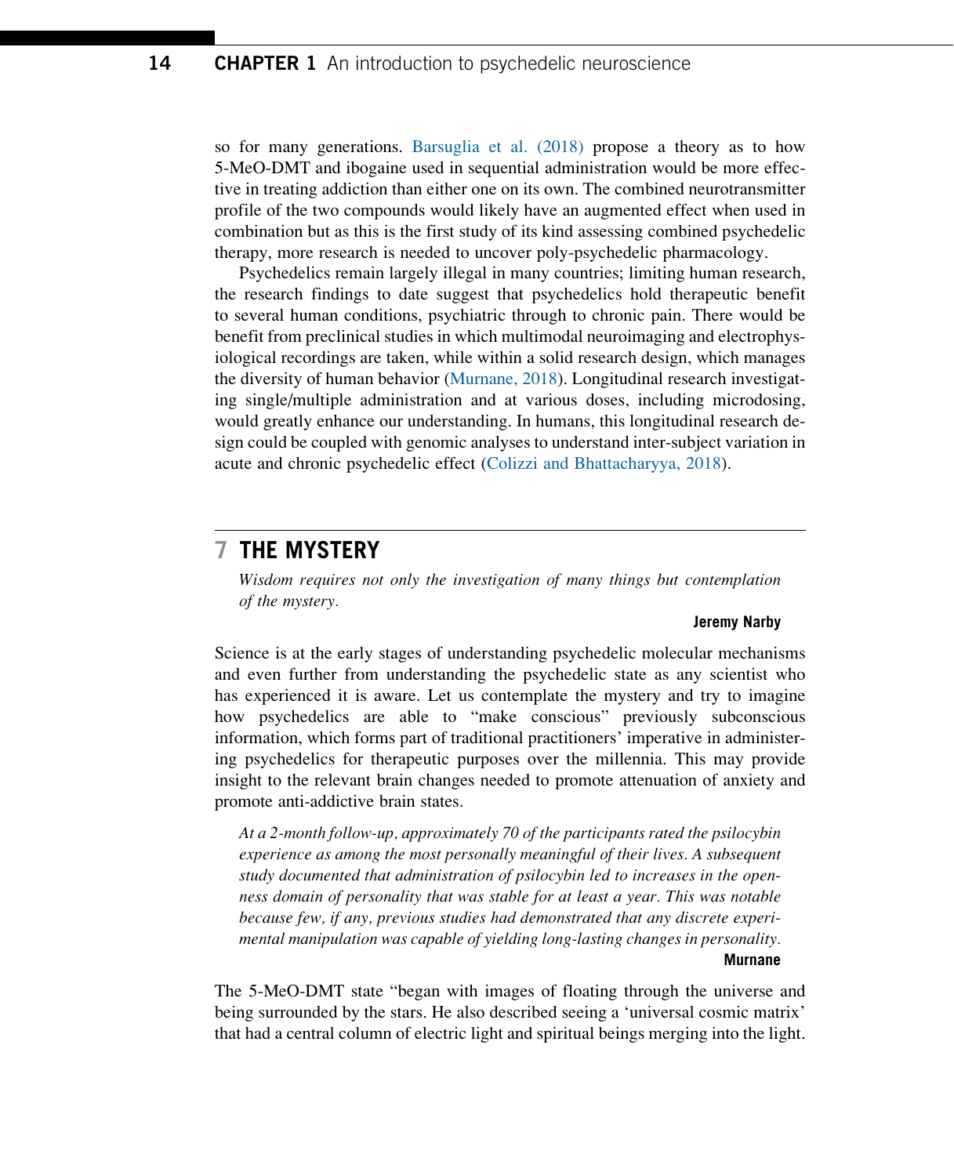so for many generations. [Barsuglia et al. \(2018\)](#page-17-0) propose a theory as to how 5-MeO-DMT and ibogaine used in sequential administration would be more effective in treating addiction than either one on its own. The combined neurotransmitter profile of the two compounds would likely have an augmented effect when used in combination but as this is the first study of its kind assessing combined psychedelic therapy, more research is needed to uncover poly-psychedelic pharmacology.

Psychedelics remain largely illegal in many countries; limiting human research, the research findings to date suggest that psychedelics hold therapeutic benefit to several human conditions, psychiatric through to chronic pain. There would be benefit from preclinical studies in which multimodal neuroimaging and electrophysiological recordings are taken, while within a solid research design, which manages the diversity of human behavior ([Murnane, 2018\)](#page-21-0). Longitudinal research investigating single/multiple administration and at various doses, including microdosing, would greatly enhance our understanding. In humans, this longitudinal research design could be coupled with genomic analyses to understand inter-subject variation in acute and chronic psychedelic effect ([Colizzi and Bhattacharyya, 2018\)](#page-18-0).

#### 7 THE MYSTERY

Wisdom requires not only the investigation of many things but contemplation of the mystery.

#### Jeremy Narby

Science is at the early stages of understanding psychedelic molecular mechanisms and even further from understanding the psychedelic state as any scientist who has experienced it is aware. Let us contemplate the mystery and try to imagine how psychedelics are able to "make conscious" previously subconscious information, which forms part of traditional practitioners' imperative in administering psychedelics for therapeutic purposes over the millennia. This may provide insight to the relevant brain changes needed to promote attenuation of anxiety and promote anti-addictive brain states.

At a 2-month follow-up, approximately 70 of the participants rated the psilocybin experience as among the most personally meaningful of their lives. A subsequent study documented that administration of psilocybin led to increases in the openness domain of personality that was stable for at least a year. This was notable because few, if any, previous studies had demonstrated that any discrete experimental manipulation was capable of yielding long-lasting changes in personality. Murnane

The 5-MeO-DMT state "began with images of floating through the universe and being surrounded by the stars. He also described seeing a 'universal cosmic matrix' that had a central column of electric light and spiritual beings merging into the light.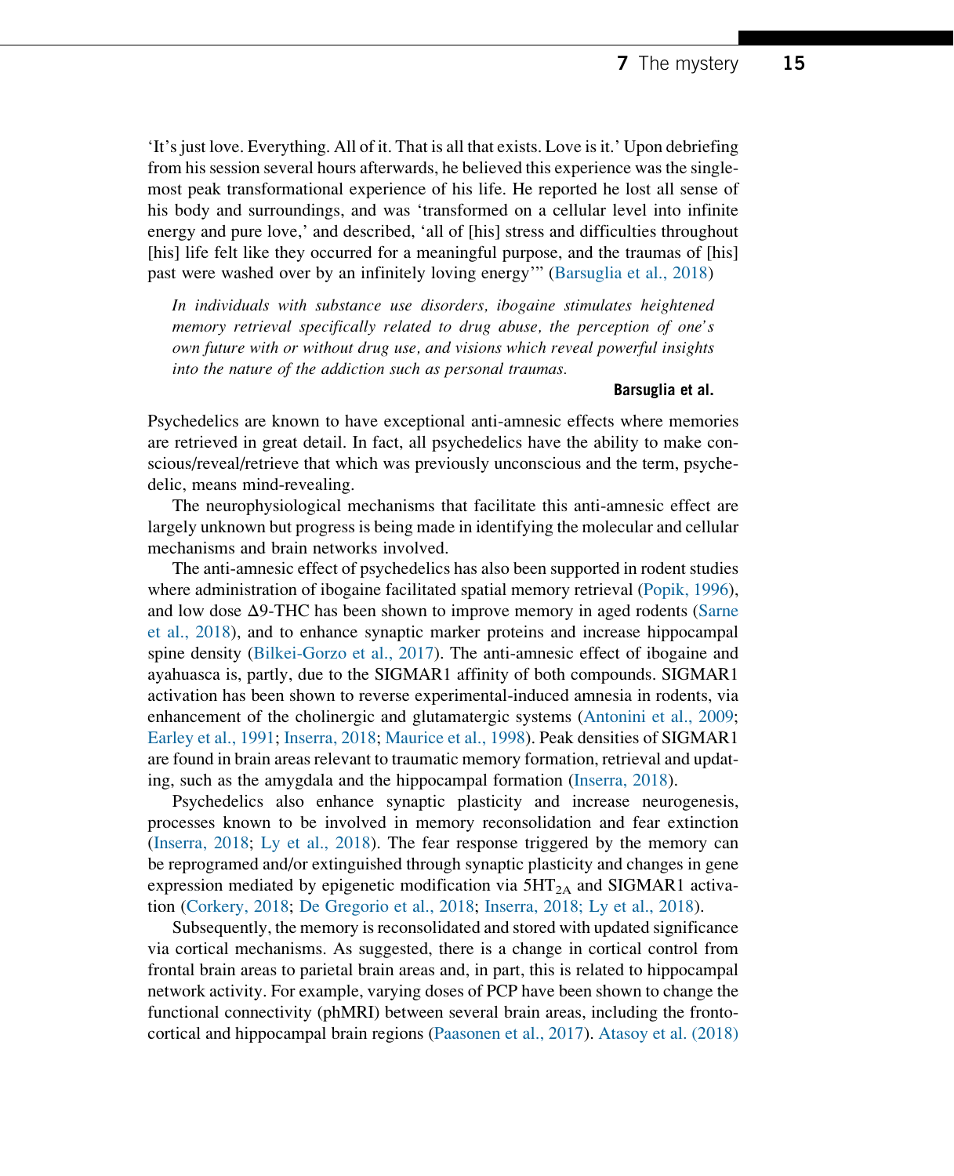'It's just love. Everything. All of it. That is all that exists. Love is it.' Upon debriefing from his session several hours afterwards, he believed this experience was the singlemost peak transformational experience of his life. He reported he lost all sense of his body and surroundings, and was 'transformed on a cellular level into infinite energy and pure love,' and described, 'all of [his] stress and difficulties throughout [his] life felt like they occurred for a meaningful purpose, and the traumas of [his] past were washed over by an infinitely loving energy'" [\(Barsuglia et al., 2018\)](#page-17-0)

In individuals with substance use disorders, ibogaine stimulates heightened memory retrieval specifically related to drug abuse, the perception of one's own future with or without drug use, and visions which reveal powerful insights into the nature of the addiction such as personal traumas.

#### Barsuglia et al.

Psychedelics are known to have exceptional anti-amnesic effects where memories are retrieved in great detail. In fact, all psychedelics have the ability to make conscious/reveal/retrieve that which was previously unconscious and the term, psychedelic, means mind-revealing.

The neurophysiological mechanisms that facilitate this anti-amnesic effect are largely unknown but progress is being made in identifying the molecular and cellular mechanisms and brain networks involved.

The anti-amnesic effect of psychedelics has also been supported in rodent studies where administration of ibogaine facilitated spatial memory retrieval [\(Popik, 1996\)](#page-22-0), and low dose Δ9-THC has been shown to improve memory in aged rodents ([Sarne](#page-22-0) et [al., 2018\)](#page-22-0), and to enhance synaptic marker proteins and increase hippocampal spine density ([Bilkei-Gorzo et al., 2017\)](#page-17-0). The anti-amnesic effect of ibogaine and ayahuasca is, partly, due to the SIGMAR1 affinity of both compounds. SIGMAR1 activation has been shown to reverse experimental-induced amnesia in rodents, via enhancement of the cholinergic and glutamatergic systems [\(Antonini et al., 2009;](#page-17-0) [Earley et al., 1991;](#page-19-0) [Inserra, 2018](#page-19-0); [Maurice et al., 1998\)](#page-21-0). Peak densities of SIGMAR1 are found in brain areas relevant to traumatic memory formation, retrieval and updating, such as the amygdala and the hippocampal formation [\(Inserra, 2018](#page-19-0)).

Psychedelics also enhance synaptic plasticity and increase neurogenesis, processes known to be involved in memory reconsolidation and fear extinction [\(Inserra, 2018](#page-19-0); [Ly et al., 2018\)](#page-20-0). The fear response triggered by the memory can be reprogramed and/or extinguished through synaptic plasticity and changes in gene expression mediated by epigenetic modification via  $5HT<sub>2A</sub>$  and SIGMAR1 activation ([Corkery, 2018;](#page-18-0) [De Gregorio et al., 2018;](#page-18-0) [Inserra, 2018; Ly et al., 2018](#page-19-0)).

Subsequently, the memory is reconsolidated and stored with updated significance via cortical mechanisms. As suggested, there is a change in cortical control from frontal brain areas to parietal brain areas and, in part, this is related to hippocampal network activity. For example, varying doses of PCP have been shown to change the functional connectivity (phMRI) between several brain areas, including the frontocortical and hippocampal brain regions ([Paasonen et al., 2017\)](#page-21-0). [Atasoy et al. \(2018\)](#page-17-0)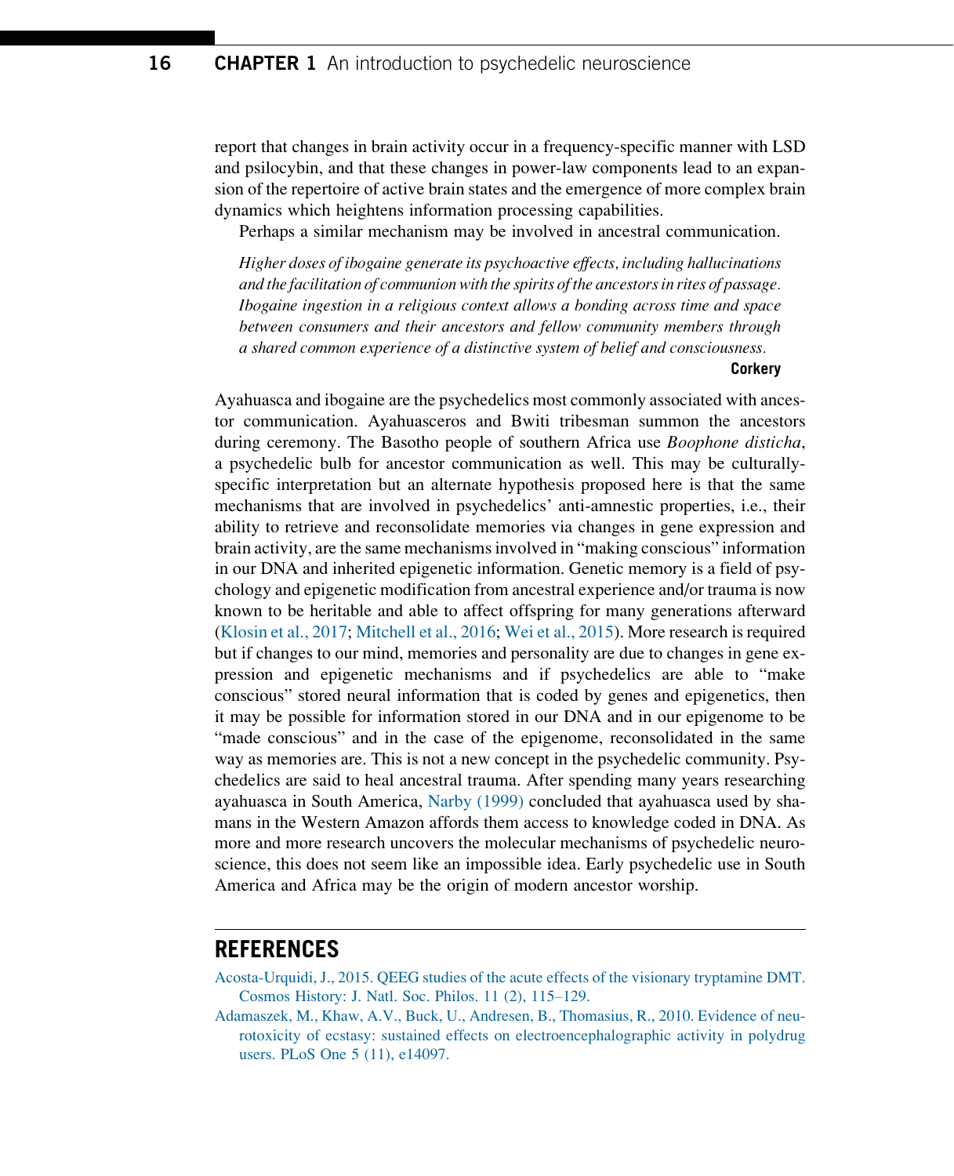<span id="page-16-0"></span>report that changes in brain activity occur in a frequency-specific manner with LSD and psilocybin, and that these changes in power-law components lead to an expansion of the repertoire of active brain states and the emergence of more complex brain dynamics which heightens information processing capabilities.

Perhaps a similar mechanism may be involved in ancestral communication.

Higher doses of ibogaine generate its psychoactive effects, including hallucinations and the facilitation of communion with the spirits of the ancestors in rites of passage. Ibogaine ingestion in a religious context allows a bonding across time and space between consumers and their ancestors and fellow community members through a shared common experience of a distinctive system of belief and consciousness.

**Corkery** 

Ayahuasca and ibogaine are the psychedelics most commonly associated with ancestor communication. Ayahuasceros and Bwiti tribesman summon the ancestors during ceremony. The Basotho people of southern Africa use Boophone disticha, a psychedelic bulb for ancestor communication as well. This may be culturallyspecific interpretation but an alternate hypothesis proposed here is that the same mechanisms that are involved in psychedelics' anti-amnestic properties, i.e., their ability to retrieve and reconsolidate memories via changes in gene expression and brain activity, are the same mechanisms involved in "making conscious" information in our DNA and inherited epigenetic information. Genetic memory is a field of psychology and epigenetic modification from ancestral experience and/or trauma is now known to be heritable and able to affect offspring for many generations afterward ([Klosin et al., 2017;](#page-20-0) [Mitchell et al., 2016;](#page-21-0) [Wei et al., 2015\)](#page-23-0). More research is required but if changes to our mind, memories and personality are due to changes in gene expression and epigenetic mechanisms and if psychedelics are able to "make conscious" stored neural information that is coded by genes and epigenetics, then it may be possible for information stored in our DNA and in our epigenome to be "made conscious" and in the case of the epigenome, reconsolidated in the same way as memories are. This is not a new concept in the psychedelic community. Psychedelics are said to heal ancestral trauma. After spending many years researching ayahuasca in South America, [Narby \(1999\)](#page-21-0) concluded that ayahuasca used by shamans in the Western Amazon affords them access to knowledge coded in DNA. As more and more research uncovers the molecular mechanisms of psychedelic neuroscience, this does not seem like an impossible idea. Early psychedelic use in South America and Africa may be the origin of modern ancestor worship.

#### REFERENCES

[Acosta-Urquidi, J., 2015. QEEG studies of the acute effects of the visionary tryptamine DMT.](http://refhub.elsevier.com/S0079-6123(18)30119-5/rf0010) [Cosmos History: J. Natl. Soc. Philos. 11 \(2\), 115](http://refhub.elsevier.com/S0079-6123(18)30119-5/rf0010)–129.

[Adamaszek, M., Khaw, A.V., Buck, U., Andresen, B., Thomasius, R., 2010. Evidence of neu](http://refhub.elsevier.com/S0079-6123(18)30119-5/rf0015)[rotoxicity of ecstasy: sustained effects on electroencephalographic activity in polydrug](http://refhub.elsevier.com/S0079-6123(18)30119-5/rf0015) [users. PLoS One 5 \(11\), e14097.](http://refhub.elsevier.com/S0079-6123(18)30119-5/rf0015)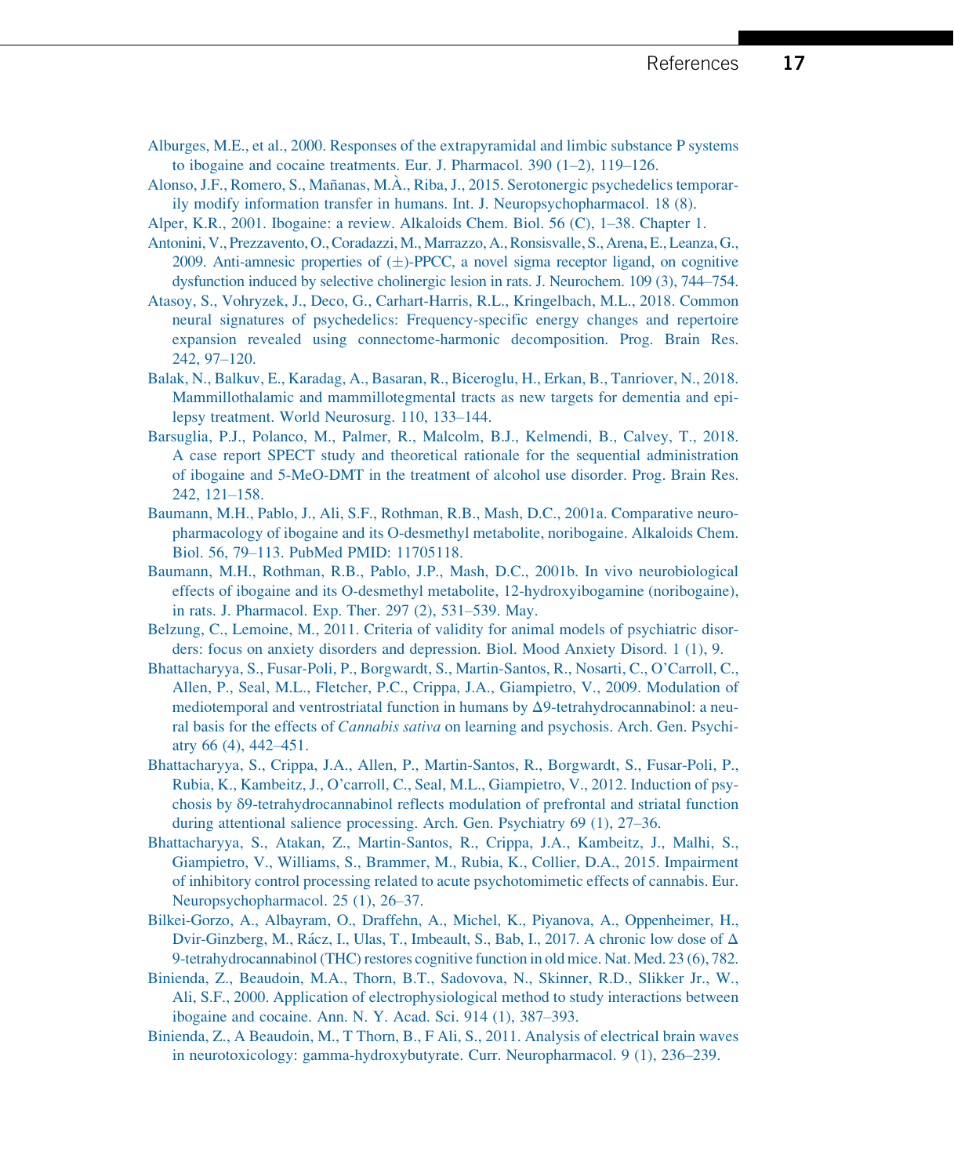- <span id="page-17-0"></span>[Alburges, M.E., et al., 2000. Responses of the extrapyramidal and limbic substance P systems](http://refhub.elsevier.com/S0079-6123(18)30119-5/rf0020) [to ibogaine and cocaine treatments. Eur. J. Pharmacol. 390 \(1](http://refhub.elsevier.com/S0079-6123(18)30119-5/rf0020)–2), 119–126.
- Alonso, J.F., Romero, S., Mañanas, M.À[., Riba, J., 2015. Serotonergic psychedelics temporar](http://refhub.elsevier.com/S0079-6123(18)30119-5/rf0025)[ily modify information transfer in humans. Int. J. Neuropsychopharmacol. 18 \(8\).](http://refhub.elsevier.com/S0079-6123(18)30119-5/rf0025)
- [Alper, K.R., 2001. Ibogaine: a review. Alkaloids Chem. Biol. 56 \(C\), 1](http://refhub.elsevier.com/S0079-6123(18)30119-5/rf0030)–38. Chapter 1.
- [Antonini, V., Prezzavento, O., Coradazzi, M., Marrazzo, A., Ronsisvalle, S., Arena, E., Leanza, G.,](http://refhub.elsevier.com/S0079-6123(18)30119-5/rf0035) 2009. Anti-amnesic properties of  $(\pm)$ -PPCC, a novel sigma receptor ligand, on cognitive [dysfunction induced by selective cholinergic lesion in rats. J. Neurochem. 109 \(3\), 744](http://refhub.elsevier.com/S0079-6123(18)30119-5/rf0035)–754.
- [Atasoy, S., Vohryzek, J., Deco, G., Carhart-Harris, R.L., Kringelbach, M.L., 2018. Common](http://refhub.elsevier.com/S0079-6123(18)30119-5/rf9200) [neural signatures of psychedelics: Frequency-specific energy changes and repertoire](http://refhub.elsevier.com/S0079-6123(18)30119-5/rf9200) [expansion revealed using connectome-harmonic decomposition. Prog. Brain Res.](http://refhub.elsevier.com/S0079-6123(18)30119-5/rf9200) [242, 97](http://refhub.elsevier.com/S0079-6123(18)30119-5/rf9200)–120.
- [Balak, N., Balkuv, E., Karadag, A., Basaran, R., Biceroglu, H., Erkan, B., Tanriover, N., 2018.](http://refhub.elsevier.com/S0079-6123(18)30119-5/rf0040) [Mammillothalamic and mammillotegmental tracts as new targets for dementia and epi](http://refhub.elsevier.com/S0079-6123(18)30119-5/rf0040)[lepsy treatment. World Neurosurg. 110, 133](http://refhub.elsevier.com/S0079-6123(18)30119-5/rf0040)–144.
- [Barsuglia, P.J., Polanco, M., Palmer, R., Malcolm, B.J., Kelmendi, B., Calvey, T., 2018.](http://refhub.elsevier.com/S0079-6123(18)30119-5/rf9205) [A case report SPECT study and theoretical rationale for the sequential administration](http://refhub.elsevier.com/S0079-6123(18)30119-5/rf9205) [of ibogaine and 5-MeO-DMT in the treatment of alcohol use disorder. Prog. Brain Res.](http://refhub.elsevier.com/S0079-6123(18)30119-5/rf9205) [242, 121](http://refhub.elsevier.com/S0079-6123(18)30119-5/rf9205)–158.
- [Baumann, M.H., Pablo, J., Ali, S.F., Rothman, R.B., Mash, D.C., 2001a. Comparative neuro](http://refhub.elsevier.com/S0079-6123(18)30119-5/rf0045)[pharmacology of ibogaine and its O-desmethyl metabolite, noribogaine. Alkaloids Chem.](http://refhub.elsevier.com/S0079-6123(18)30119-5/rf0045) Biol. 56, 79–[113. PubMed PMID: 11705118.](http://refhub.elsevier.com/S0079-6123(18)30119-5/rf0045)
- [Baumann, M.H., Rothman, R.B., Pablo, J.P., Mash, D.C., 2001b. In vivo neurobiological](http://refhub.elsevier.com/S0079-6123(18)30119-5/rf0050) [effects of ibogaine and its O-desmethyl metabolite, 12-hydroxyibogamine \(noribogaine\),](http://refhub.elsevier.com/S0079-6123(18)30119-5/rf0050) [in rats. J. Pharmacol. Exp. Ther. 297 \(2\), 531](http://refhub.elsevier.com/S0079-6123(18)30119-5/rf0050)–539. May.
- [Belzung, C., Lemoine, M., 2011. Criteria of validity for animal models of psychiatric disor](http://refhub.elsevier.com/S0079-6123(18)30119-5/rf0055)[ders: focus on anxiety disorders and depression. Biol. Mood Anxiety Disord. 1 \(1\), 9.](http://refhub.elsevier.com/S0079-6123(18)30119-5/rf0055)
- [Bhattacharyya, S., Fusar-Poli, P., Borgwardt, S., Martin-Santos, R., Nosarti, C., O'Carroll, C.,](http://refhub.elsevier.com/S0079-6123(18)30119-5/rf0060) [Allen, P., Seal, M.L., Fletcher, P.C., Crippa, J.A., Giampietro, V., 2009. Modulation of](http://refhub.elsevier.com/S0079-6123(18)30119-5/rf0060) [mediotemporal and ventrostriatal function in humans by](http://refhub.elsevier.com/S0079-6123(18)30119-5/rf0060)  $\Delta$ [9-tetrahydrocannabinol: a neu](http://refhub.elsevier.com/S0079-6123(18)30119-5/rf0060)ral basis for the effects of *Cannabis sativa* [on learning and psychosis. Arch. Gen. Psychi](http://refhub.elsevier.com/S0079-6123(18)30119-5/rf0060)[atry 66 \(4\), 442](http://refhub.elsevier.com/S0079-6123(18)30119-5/rf0060)–451.
- [Bhattacharyya, S., Crippa, J.A., Allen, P., Martin-Santos, R., Borgwardt, S., Fusar-Poli, P.,](http://refhub.elsevier.com/S0079-6123(18)30119-5/rf0065) [Rubia, K., Kambeitz, J., O'carroll, C., Seal, M.L., Giampietro, V., 2012. Induction of psy](http://refhub.elsevier.com/S0079-6123(18)30119-5/rf0065)[chosis by](http://refhub.elsevier.com/S0079-6123(18)30119-5/rf0065) δ[9-tetrahydrocannabinol reflects modulation of prefrontal and striatal function](http://refhub.elsevier.com/S0079-6123(18)30119-5/rf0065) [during attentional salience processing. Arch. Gen. Psychiatry 69 \(1\), 27](http://refhub.elsevier.com/S0079-6123(18)30119-5/rf0065)–36.
- [Bhattacharyya, S., Atakan, Z., Martin-Santos, R., Crippa, J.A., Kambeitz, J., Malhi, S.,](http://refhub.elsevier.com/S0079-6123(18)30119-5/rf0070) [Giampietro, V., Williams, S., Brammer, M., Rubia, K., Collier, D.A., 2015. Impairment](http://refhub.elsevier.com/S0079-6123(18)30119-5/rf0070) [of inhibitory control processing related to acute psychotomimetic effects of cannabis. Eur.](http://refhub.elsevier.com/S0079-6123(18)30119-5/rf0070) [Neuropsychopharmacol. 25 \(1\), 26](http://refhub.elsevier.com/S0079-6123(18)30119-5/rf0070)–37.
- [Bilkei-Gorzo, A., Albayram, O., Draffehn, A., Michel, K., Piyanova, A., Oppenheimer, H.,](http://refhub.elsevier.com/S0079-6123(18)30119-5/rf0075) Dvir-Ginzberg, M., Rácz, I., Ulas, T., Imbeault, S., Bab, I., 2017. A chronic low dose of  $\Delta$ [9-tetrahydrocannabinol \(THC\) restores cognitive function in old mice. Nat. Med. 23 \(6\), 782.](http://refhub.elsevier.com/S0079-6123(18)30119-5/rf0075)
- [Binienda, Z., Beaudoin, M.A., Thorn, B.T., Sadovova, N., Skinner, R.D., Slikker Jr., W.,](http://refhub.elsevier.com/S0079-6123(18)30119-5/rf0080) [Ali, S.F., 2000. Application of electrophysiological method to study interactions between](http://refhub.elsevier.com/S0079-6123(18)30119-5/rf0080) [ibogaine and cocaine. Ann. N. Y. Acad. Sci. 914 \(1\), 387](http://refhub.elsevier.com/S0079-6123(18)30119-5/rf0080)–393.
- [Binienda, Z., A Beaudoin, M., T Thorn, B., F Ali, S., 2011. Analysis of electrical brain waves](http://refhub.elsevier.com/S0079-6123(18)30119-5/rf0085) [in neurotoxicology: gamma-hydroxybutyrate. Curr. Neuropharmacol. 9 \(1\), 236](http://refhub.elsevier.com/S0079-6123(18)30119-5/rf0085)–239.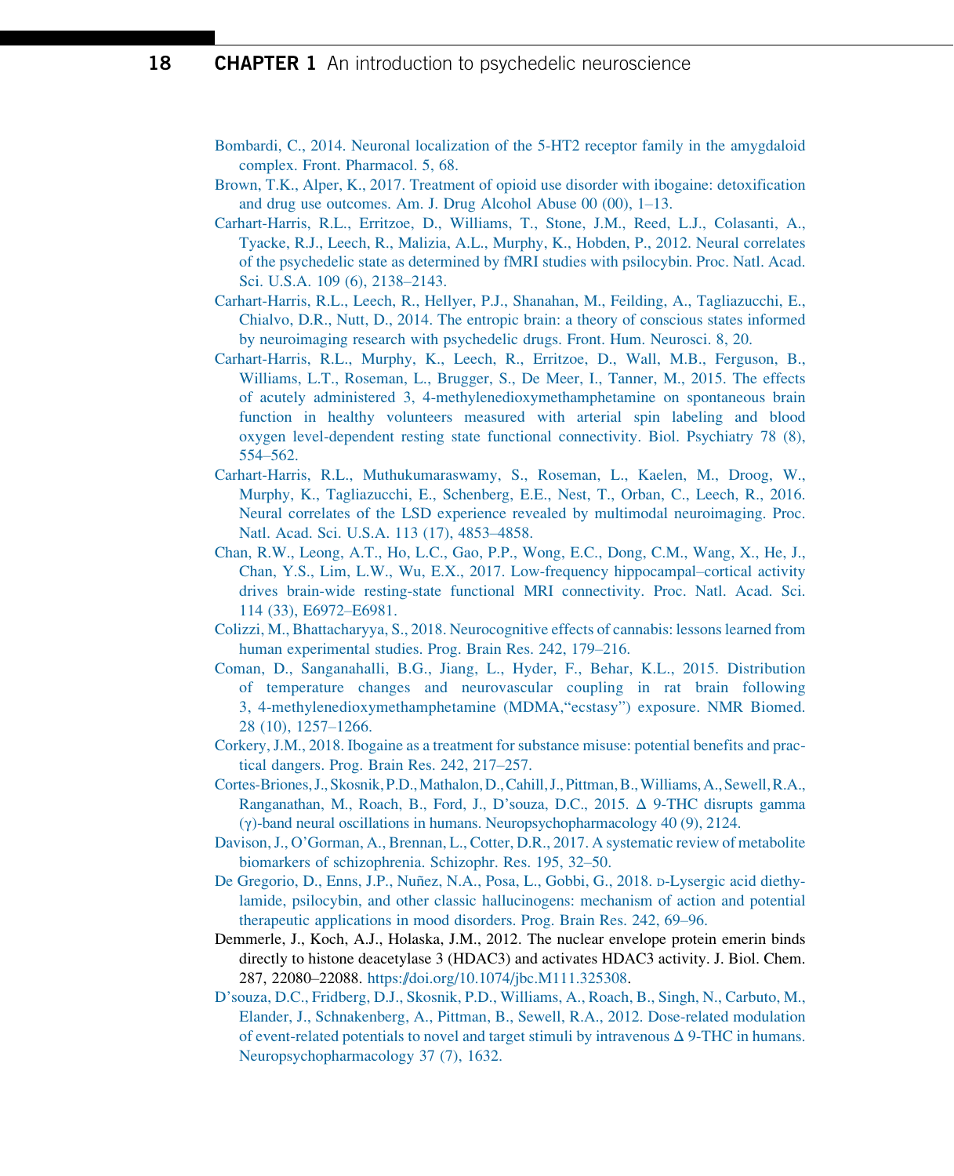- <span id="page-18-0"></span>[Bombardi, C., 2014. Neuronal localization of the 5-HT2 receptor family in the amygdaloid](http://refhub.elsevier.com/S0079-6123(18)30119-5/rf0090) [complex. Front. Pharmacol. 5, 68.](http://refhub.elsevier.com/S0079-6123(18)30119-5/rf0090)
- [Brown, T.K., Alper, K., 2017. Treatment of opioid use disorder with ibogaine: detoxification](http://refhub.elsevier.com/S0079-6123(18)30119-5/rf0095) [and drug use outcomes. Am. J. Drug Alcohol Abuse 00 \(00\), 1](http://refhub.elsevier.com/S0079-6123(18)30119-5/rf0095)–13.
- [Carhart-Harris, R.L., Erritzoe, D., Williams, T., Stone, J.M., Reed, L.J., Colasanti, A.,](http://refhub.elsevier.com/S0079-6123(18)30119-5/rf0100) [Tyacke, R.J., Leech, R., Malizia, A.L., Murphy, K., Hobden, P., 2012. Neural correlates](http://refhub.elsevier.com/S0079-6123(18)30119-5/rf0100) [of the psychedelic state as determined by fMRI studies with psilocybin. Proc. Natl. Acad.](http://refhub.elsevier.com/S0079-6123(18)30119-5/rf0100) [Sci. U.S.A. 109 \(6\), 2138](http://refhub.elsevier.com/S0079-6123(18)30119-5/rf0100)–2143.
- [Carhart-Harris, R.L., Leech, R., Hellyer, P.J., Shanahan, M., Feilding, A., Tagliazucchi, E.,](http://refhub.elsevier.com/S0079-6123(18)30119-5/rf0105) [Chialvo, D.R., Nutt, D., 2014. The entropic brain: a theory of conscious states informed](http://refhub.elsevier.com/S0079-6123(18)30119-5/rf0105) [by neuroimaging research with psychedelic drugs. Front. Hum. Neurosci. 8, 20.](http://refhub.elsevier.com/S0079-6123(18)30119-5/rf0105)
- [Carhart-Harris, R.L., Murphy, K., Leech, R., Erritzoe, D., Wall, M.B., Ferguson, B.,](http://refhub.elsevier.com/S0079-6123(18)30119-5/rf0110) [Williams, L.T., Roseman, L., Brugger, S., De Meer, I., Tanner, M., 2015. The effects](http://refhub.elsevier.com/S0079-6123(18)30119-5/rf0110) [of acutely administered 3, 4-methylenedioxymethamphetamine on spontaneous brain](http://refhub.elsevier.com/S0079-6123(18)30119-5/rf0110) [function in healthy volunteers measured with arterial spin labeling and blood](http://refhub.elsevier.com/S0079-6123(18)30119-5/rf0110) [oxygen level-dependent resting state functional connectivity. Biol. Psychiatry 78 \(8\),](http://refhub.elsevier.com/S0079-6123(18)30119-5/rf0110) 554–[562.](http://refhub.elsevier.com/S0079-6123(18)30119-5/rf0110)
- [Carhart-Harris, R.L., Muthukumaraswamy, S., Roseman, L., Kaelen, M., Droog, W.,](http://refhub.elsevier.com/S0079-6123(18)30119-5/rf0115) [Murphy, K., Tagliazucchi, E., Schenberg, E.E., Nest, T., Orban, C., Leech, R., 2016.](http://refhub.elsevier.com/S0079-6123(18)30119-5/rf0115) [Neural correlates of the LSD experience revealed by multimodal neuroimaging. Proc.](http://refhub.elsevier.com/S0079-6123(18)30119-5/rf0115) [Natl. Acad. Sci. U.S.A. 113 \(17\), 4853](http://refhub.elsevier.com/S0079-6123(18)30119-5/rf0115)–4858.
- [Chan, R.W., Leong, A.T., Ho, L.C., Gao, P.P., Wong, E.C., Dong, C.M., Wang, X., He, J.,](http://refhub.elsevier.com/S0079-6123(18)30119-5/rf9210) [Chan, Y.S., Lim, L.W., Wu, E.X., 2017. Low-frequency hippocampal](http://refhub.elsevier.com/S0079-6123(18)30119-5/rf9210)–cortical activity [drives brain-wide resting-state functional MRI connectivity. Proc. Natl. Acad. Sci.](http://refhub.elsevier.com/S0079-6123(18)30119-5/rf9210) [114 \(33\), E6972](http://refhub.elsevier.com/S0079-6123(18)30119-5/rf9210)–E6981.
- [Colizzi, M., Bhattacharyya, S., 2018. Neurocognitive effects of cannabis: lessons learned from](http://refhub.elsevier.com/S0079-6123(18)30119-5/rf9100) [human experimental studies. Prog. Brain Res. 242, 179](http://refhub.elsevier.com/S0079-6123(18)30119-5/rf9100)–216.
- [Coman, D., Sanganahalli, B.G., Jiang, L., Hyder, F., Behar, K.L., 2015. Distribution](http://refhub.elsevier.com/S0079-6123(18)30119-5/rf0120) [of temperature changes and neurovascular coupling in rat brain following](http://refhub.elsevier.com/S0079-6123(18)30119-5/rf0120) [3, 4-methylenedioxymethamphetamine \(MDMA,"ecstasy"\) exposure. NMR Biomed.](http://refhub.elsevier.com/S0079-6123(18)30119-5/rf0120) [28 \(10\), 1257](http://refhub.elsevier.com/S0079-6123(18)30119-5/rf0120)–1266.
- [Corkery, J.M., 2018. Ibogaine as a treatment for substance misuse: potential benefits and prac](http://refhub.elsevier.com/S0079-6123(18)30119-5/rf8000)[tical dangers. Prog. Brain Res. 242, 217](http://refhub.elsevier.com/S0079-6123(18)30119-5/rf8000)–257.
- [Cortes-Briones, J., Skosnik, P.D.,Mathalon, D.,Cahill, J., Pittman,B.,Williams, A., Sewell,R.A.,](http://refhub.elsevier.com/S0079-6123(18)30119-5/rf0125) [Ranganathan, M., Roach, B., Ford, J., D'souza, D.C., 2015.](http://refhub.elsevier.com/S0079-6123(18)30119-5/rf0125) Δ [9-THC disrupts gamma](http://refhub.elsevier.com/S0079-6123(18)30119-5/rf0125) [\(](http://refhub.elsevier.com/S0079-6123(18)30119-5/rf0125)γ[\)-band neural oscillations in humans. Neuropsychopharmacology 40 \(9\), 2124.](http://refhub.elsevier.com/S0079-6123(18)30119-5/rf0125)
- [Davison, J., O'Gorman, A., Brennan, L., Cotter, D.R., 2017. A systematic review of metabolite](http://refhub.elsevier.com/S0079-6123(18)30119-5/rf0130) [biomarkers of schizophrenia. Schizophr. Res. 195, 32](http://refhub.elsevier.com/S0079-6123(18)30119-5/rf0130)–50.
- De Gregorio, D., Enns, J.P., Nuñez, N.A., Posa, L., Gobbi, G., 2018. D-Lysergic acid diethy[lamide, psilocybin, and other classic hallucinogens: mechanism of action and potential](http://refhub.elsevier.com/S0079-6123(18)30119-5/rf9000) [therapeutic applications in mood disorders. Prog. Brain Res. 242, 69](http://refhub.elsevier.com/S0079-6123(18)30119-5/rf9000)–96.
- Demmerle, J., Koch, A.J., Holaska, J.M., 2012. The nuclear envelope protein emerin binds directly to histone deacetylase 3 (HDAC3) and activates HDAC3 activity. J. Biol. Chem. 287, 22080–22088. <https://doi.org/10.1074/jbc.M111.325308>.
- [D'souza, D.C., Fridberg, D.J., Skosnik, P.D., Williams, A., Roach, B., Singh, N., Carbuto, M.,](http://refhub.elsevier.com/S0079-6123(18)30119-5/rf0140) Elander, [J., Schnakenberg, A., Pittman, B., Sewell, R.A., 2012. Dose-related modulation](http://refhub.elsevier.com/S0079-6123(18)30119-5/rf0140) [of event-related potentials to novel and target stimuli by intravenous](http://refhub.elsevier.com/S0079-6123(18)30119-5/rf0140) Δ [9-THC in humans.](http://refhub.elsevier.com/S0079-6123(18)30119-5/rf0140) [Neuropsychopharmacology 37 \(7\), 1632.](http://refhub.elsevier.com/S0079-6123(18)30119-5/rf0140)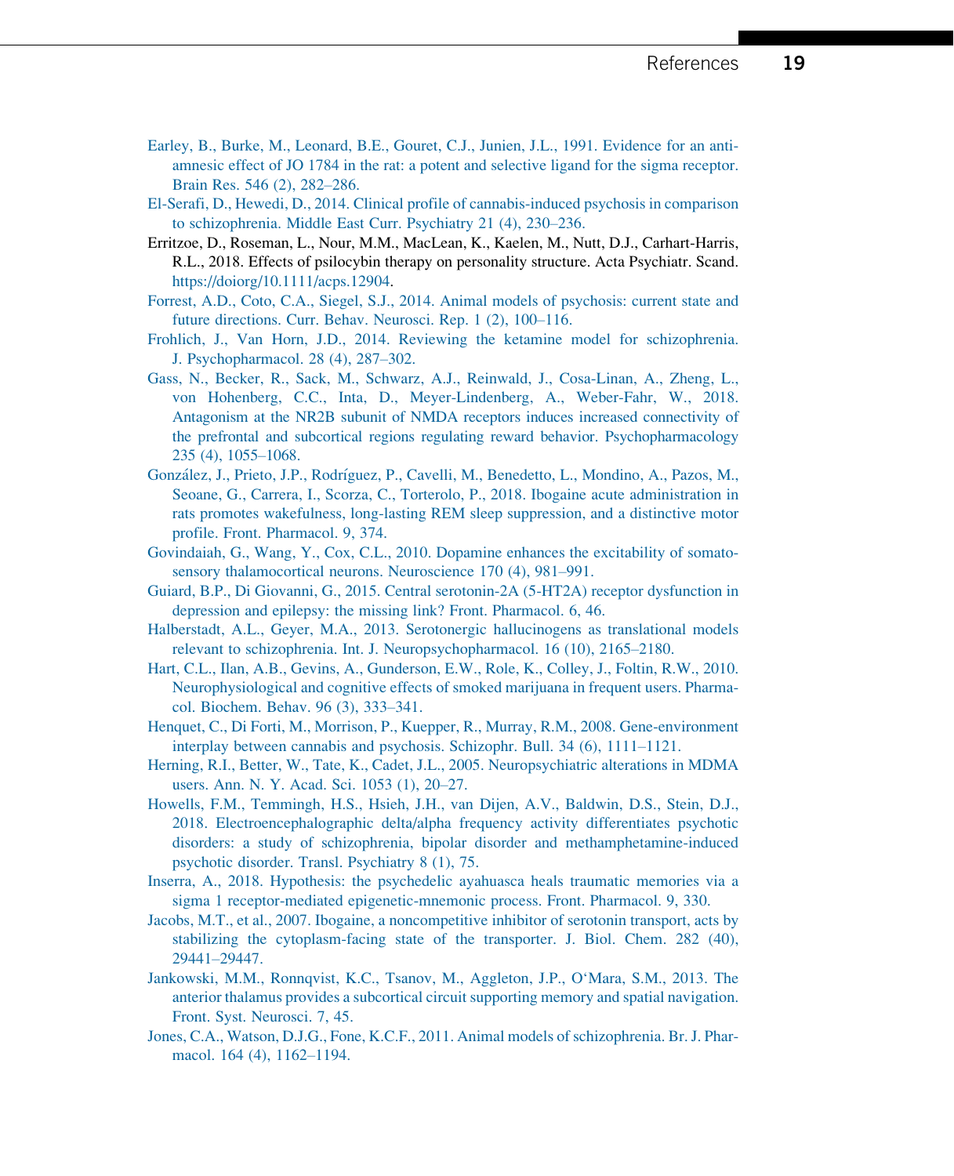- <span id="page-19-0"></span>[Earley, B., Burke, M., Leonard, B.E., Gouret, C.J., Junien, J.L., 1991. Evidence for an anti](http://refhub.elsevier.com/S0079-6123(18)30119-5/rf0145)[amnesic effect of JO 1784 in the rat: a potent and selective ligand for the sigma receptor.](http://refhub.elsevier.com/S0079-6123(18)30119-5/rf0145) [Brain Res. 546 \(2\), 282](http://refhub.elsevier.com/S0079-6123(18)30119-5/rf0145)–286.
- [El-Serafi, D., Hewedi, D., 2014. Clinical profile of cannabis-induced psychosis in comparison](http://refhub.elsevier.com/S0079-6123(18)30119-5/rf0150) [to schizophrenia. Middle East Curr. Psychiatry 21 \(4\), 230](http://refhub.elsevier.com/S0079-6123(18)30119-5/rf0150)–236.
- Erritzoe, D., Roseman, L., Nour, M.M., MacLean, K., Kaelen, M., Nutt, D.J., Carhart-Harris, R.L., 2018. Effects of psilocybin therapy on personality structure. Acta Psychiatr. Scand. [https://doiorg/10.1111/acps.12904.](https://doi.org/10.1111/acps.12904)
- [Forrest, A.D., Coto, C.A., Siegel, S.J., 2014. Animal models of psychosis: current state and](http://refhub.elsevier.com/S0079-6123(18)30119-5/rf0160) future [directions. Curr. Behav. Neurosci. Rep. 1 \(2\), 100](http://refhub.elsevier.com/S0079-6123(18)30119-5/rf0160)–116.
- [Frohlich, J., Van Horn, J.D., 2014. Reviewing the ketamine model for schizophrenia.](http://refhub.elsevier.com/S0079-6123(18)30119-5/rf0165) [J. Psychopharmacol. 28 \(4\), 287](http://refhub.elsevier.com/S0079-6123(18)30119-5/rf0165)–302.
- [Gass, N., Becker, R., Sack, M., Schwarz, A.J., Reinwald, J., Cosa-Linan, A., Zheng, L.,](http://refhub.elsevier.com/S0079-6123(18)30119-5/rf0170) [von Hohenberg, C.C., Inta, D., Meyer-Lindenberg, A., Weber-Fahr, W., 2018.](http://refhub.elsevier.com/S0079-6123(18)30119-5/rf0170) [Antagonism at the NR2B subunit of NMDA receptors induces increased connectivity of](http://refhub.elsevier.com/S0079-6123(18)30119-5/rf0170) [the prefrontal and subcortical regions regulating reward behavior. Psychopharmacology](http://refhub.elsevier.com/S0079-6123(18)30119-5/rf0170) [235 \(4\), 1055](http://refhub.elsevier.com/S0079-6123(18)30119-5/rf0170)–1068.
- [Gonza´lez, J., Prieto, J.P., Rodrı´guez, P., Cavelli, M., Benedetto, L., Mondino, A., Pazos, M.,](http://refhub.elsevier.com/S0079-6123(18)30119-5/rf0175) [Seoane, G., Carrera, I., Scorza, C., Torterolo, P., 2018. Ibogaine acute administration in](http://refhub.elsevier.com/S0079-6123(18)30119-5/rf0175) [rats promotes wakefulness, long-lasting REM sleep suppression, and a distinctive motor](http://refhub.elsevier.com/S0079-6123(18)30119-5/rf0175) [profile. Front. Pharmacol. 9, 374.](http://refhub.elsevier.com/S0079-6123(18)30119-5/rf0175)
- [Govindaiah, G., Wang, Y., Cox, C.L., 2010. Dopamine enhances the excitability of somato](http://refhub.elsevier.com/S0079-6123(18)30119-5/rf0180)[sensory thalamocortical neurons. Neuroscience 170 \(4\), 981](http://refhub.elsevier.com/S0079-6123(18)30119-5/rf0180)–991.
- [Guiard, B.P., Di Giovanni, G., 2015. Central serotonin-2A \(5-HT2A\) receptor dysfunction in](http://refhub.elsevier.com/S0079-6123(18)30119-5/rf0185) [depression and epilepsy: the missing link? Front. Pharmacol. 6, 46.](http://refhub.elsevier.com/S0079-6123(18)30119-5/rf0185)
- [Halberstadt, A.L., Geyer, M.A., 2013. Serotonergic hallucinogens as translational models](http://refhub.elsevier.com/S0079-6123(18)30119-5/rf0190) [relevant to schizophrenia. Int. J. Neuropsychopharmacol. 16 \(10\), 2165](http://refhub.elsevier.com/S0079-6123(18)30119-5/rf0190)–2180.
- [Hart, C.L., Ilan, A.B., Gevins, A., Gunderson, E.W., Role, K., Colley, J., Foltin, R.W., 2010.](http://refhub.elsevier.com/S0079-6123(18)30119-5/rf9104) [Neurophysiological and cognitive effects of smoked marijuana in frequent users. Pharma](http://refhub.elsevier.com/S0079-6123(18)30119-5/rf9104)[col. Biochem. Behav. 96 \(3\), 333](http://refhub.elsevier.com/S0079-6123(18)30119-5/rf9104)–341.
- [Henquet, C., Di Forti, M., Morrison, P., Kuepper, R., Murray, R.M., 2008. Gene-environment](http://refhub.elsevier.com/S0079-6123(18)30119-5/rf0195) [interplay between cannabis and psychosis. Schizophr. Bull. 34 \(6\), 1111](http://refhub.elsevier.com/S0079-6123(18)30119-5/rf0195)–1121.
- [Herning, R.I., Better, W., Tate, K., Cadet, J.L., 2005. Neuropsychiatric alterations in MDMA](http://refhub.elsevier.com/S0079-6123(18)30119-5/rf0200) [users. Ann. N. Y. Acad. Sci. 1053 \(1\), 20](http://refhub.elsevier.com/S0079-6123(18)30119-5/rf0200)–27.
- [Howells, F.M., Temmingh, H.S., Hsieh, J.H., van Dijen, A.V., Baldwin, D.S., Stein, D.J.,](http://refhub.elsevier.com/S0079-6123(18)30119-5/rf0205) [2018. Electroencephalographic delta/alpha frequency activity differentiates psychotic](http://refhub.elsevier.com/S0079-6123(18)30119-5/rf0205) [disorders: a study of schizophrenia, bipolar disorder and methamphetamine-induced](http://refhub.elsevier.com/S0079-6123(18)30119-5/rf0205) [psychotic disorder. Transl. Psychiatry 8 \(1\), 75.](http://refhub.elsevier.com/S0079-6123(18)30119-5/rf0205)
- [Inserra, A., 2018. Hypothesis: the psychedelic ayahuasca heals traumatic memories via a](http://refhub.elsevier.com/S0079-6123(18)30119-5/rf0210) [sigma 1 receptor-mediated epigenetic-mnemonic process. Front. Pharmacol. 9, 330.](http://refhub.elsevier.com/S0079-6123(18)30119-5/rf0210)
- [Jacobs, M.T., et al., 2007. Ibogaine, a noncompetitive inhibitor of serotonin transport, acts by](http://refhub.elsevier.com/S0079-6123(18)30119-5/rf0215) [stabilizing the cytoplasm-facing state of the transporter. J. Biol. Chem. 282 \(40\),](http://refhub.elsevier.com/S0079-6123(18)30119-5/rf0215) 29441–[29447.](http://refhub.elsevier.com/S0079-6123(18)30119-5/rf0215)
- [Jankowski, M.M., Ronnqvist, K.C., Tsanov, M., Aggleton, J.P., O'Mara, S.M., 2013. The](http://refhub.elsevier.com/S0079-6123(18)30119-5/rf0220) [anterior thalamus provides a subcortical circuit supporting memory and spatial navigation.](http://refhub.elsevier.com/S0079-6123(18)30119-5/rf0220) [Front. Syst. Neurosci. 7, 45.](http://refhub.elsevier.com/S0079-6123(18)30119-5/rf0220)
- [Jones, C.A., Watson, D.J.G., Fone, K.C.F., 2011. Animal models of schizophrenia. Br. J. Phar](http://refhub.elsevier.com/S0079-6123(18)30119-5/rf0225)[macol. 164 \(4\), 1162](http://refhub.elsevier.com/S0079-6123(18)30119-5/rf0225)–1194.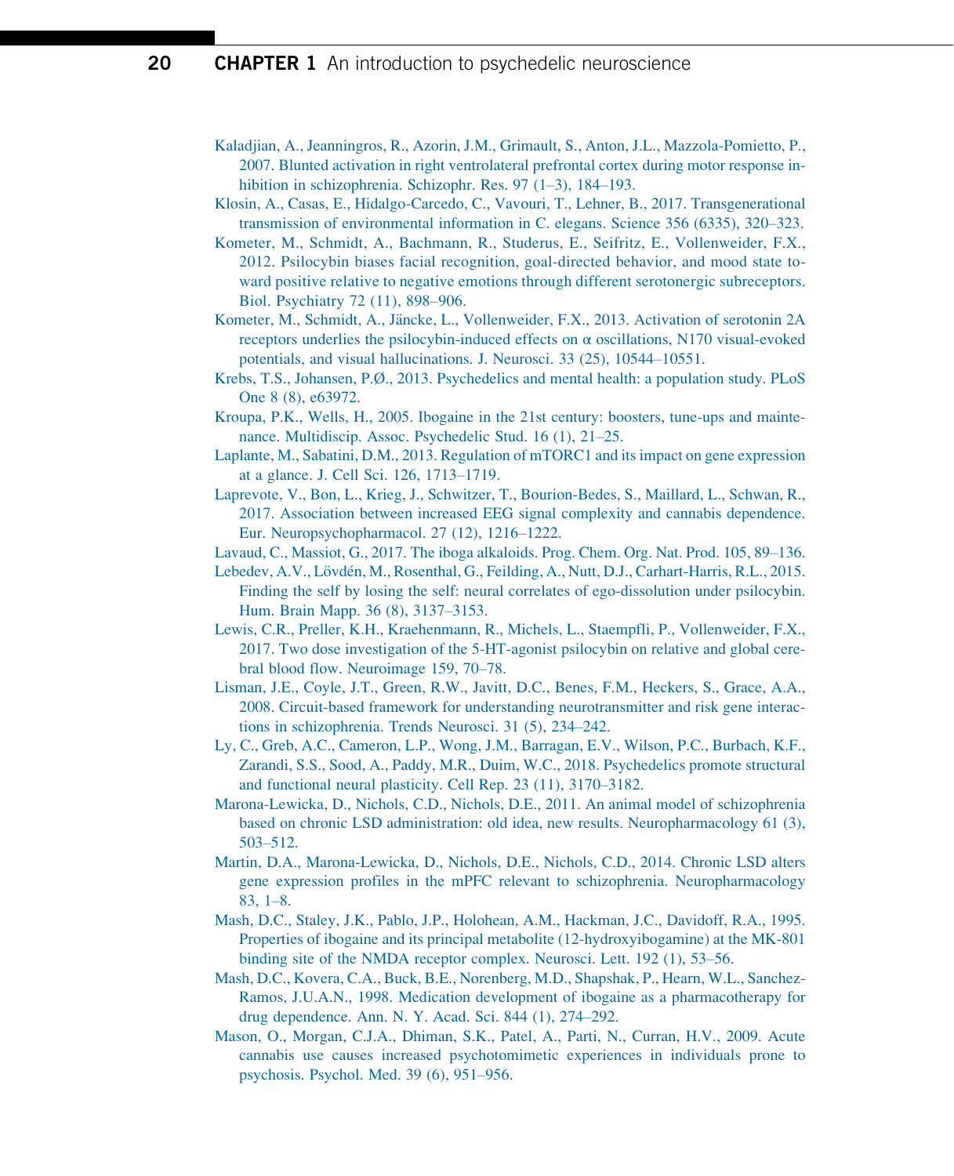- <span id="page-20-0"></span>[Kaladjian, A., Jeanningros, R., Azorin, J.M., Grimault, S., Anton, J.L., Mazzola-Pomietto, P.,](http://refhub.elsevier.com/S0079-6123(18)30119-5/rf0230) [2007. Blunted activation in right ventrolateral prefrontal cortex during motor response in](http://refhub.elsevier.com/S0079-6123(18)30119-5/rf0230)[hibition in schizophrenia. Schizophr. Res. 97 \(1](http://refhub.elsevier.com/S0079-6123(18)30119-5/rf0230)–3), 184–193.
- [Klosin, A., Casas, E., Hidalgo-Carcedo, C., Vavouri, T., Lehner, B., 2017. Transgenerational](http://refhub.elsevier.com/S0079-6123(18)30119-5/rf0235) [transmission of environmental information in C. elegans. Science 356 \(6335\), 320](http://refhub.elsevier.com/S0079-6123(18)30119-5/rf0235)–323.
- [Kometer, M., Schmidt, A., Bachmann, R., Studerus, E., Seifritz, E., Vollenweider, F.X.,](http://refhub.elsevier.com/S0079-6123(18)30119-5/rf0240) [2012. Psilocybin biases facial recognition, goal-directed behavior, and mood state to](http://refhub.elsevier.com/S0079-6123(18)30119-5/rf0240)[ward positive relative to negative emotions through different serotonergic subreceptors.](http://refhub.elsevier.com/S0079-6123(18)30119-5/rf0240) [Biol. Psychiatry 72 \(11\), 898](http://refhub.elsevier.com/S0079-6123(18)30119-5/rf0240)–906.
- [Kometer, M., Schmidt, A., J](http://refhub.elsevier.com/S0079-6123(18)30119-5/rf0245)äncke, L., Vollenweider, F.X., 2013. Activation of serotonin 2A [receptors underlies the psilocybin-induced effects on](http://refhub.elsevier.com/S0079-6123(18)30119-5/rf0245)  $\alpha$  [oscillations, N170 visual-evoked](http://refhub.elsevier.com/S0079-6123(18)30119-5/rf0245) [potentials, and visual hallucinations. J. Neurosci. 33 \(25\), 10544](http://refhub.elsevier.com/S0079-6123(18)30119-5/rf0245)–10551.
- [Krebs, T.S., Johansen, P.Ø., 2013. Psychedelics and mental health: a population study. PLoS](http://refhub.elsevier.com/S0079-6123(18)30119-5/rf0250) [One 8 \(8\), e63972.](http://refhub.elsevier.com/S0079-6123(18)30119-5/rf0250)
- [Kroupa, P.K., Wells, H., 2005. Ibogaine in the 21st century: boosters, tune-ups and mainte](http://refhub.elsevier.com/S0079-6123(18)30119-5/rf0255)[nance. Multidiscip. Assoc. Psychedelic Stud. 16 \(1\), 21](http://refhub.elsevier.com/S0079-6123(18)30119-5/rf0255)–25.
- [Laplante, M., Sabatini, D.M., 2013. Regulation of mTORC1 and its impact on gene expression](http://refhub.elsevier.com/S0079-6123(18)30119-5/rf9105) [at a glance. J. Cell Sci. 126, 1713](http://refhub.elsevier.com/S0079-6123(18)30119-5/rf9105)–1719.
- [Laprevote, V., Bon, L., Krieg, J., Schwitzer, T., Bourion-Bedes, S., Maillard, L., Schwan, R.,](http://refhub.elsevier.com/S0079-6123(18)30119-5/rf0260) [2017. Association between increased EEG signal complexity and cannabis dependence.](http://refhub.elsevier.com/S0079-6123(18)30119-5/rf0260) [Eur. Neuropsychopharmacol. 27 \(12\), 1216](http://refhub.elsevier.com/S0079-6123(18)30119-5/rf0260)–1222.
- [Lavaud, C., Massiot, G., 2017. The iboga alkaloids. Prog. Chem. Org. Nat. Prod. 105, 89](http://refhub.elsevier.com/S0079-6123(18)30119-5/rf0265)–136.
- [Lebedev, A.V., L](http://refhub.elsevier.com/S0079-6123(18)30119-5/rf0270)ö[vd](http://refhub.elsevier.com/S0079-6123(18)30119-5/rf0270)é[n, M., Rosenthal, G., Feilding, A., Nutt, D.J., Carhart-Harris, R.L., 2015.](http://refhub.elsevier.com/S0079-6123(18)30119-5/rf0270) [Finding the self by losing the self: neural correlates of ego-dissolution under psilocybin.](http://refhub.elsevier.com/S0079-6123(18)30119-5/rf0270) [Hum. Brain Mapp. 36 \(8\), 3137](http://refhub.elsevier.com/S0079-6123(18)30119-5/rf0270)–3153.
- [Lewis, C.R., Preller, K.H., Kraehenmann, R., Michels, L., Staempfli, P., Vollenweider, F.X.,](http://refhub.elsevier.com/S0079-6123(18)30119-5/rf9106) [2017. Two dose investigation of the 5-HT-agonist psilocybin on relative and global cere](http://refhub.elsevier.com/S0079-6123(18)30119-5/rf9106)[bral blood flow. Neuroimage 159, 70](http://refhub.elsevier.com/S0079-6123(18)30119-5/rf9106)–78.
- [Lisman, J.E., Coyle, J.T., Green, R.W., Javitt, D.C., Benes, F.M., Heckers, S., Grace, A.A.,](http://refhub.elsevier.com/S0079-6123(18)30119-5/rf0275) [2008. Circuit-based framework for understanding neurotransmitter and risk gene interac](http://refhub.elsevier.com/S0079-6123(18)30119-5/rf0275)[tions in schizophrenia. Trends Neurosci. 31 \(5\), 234](http://refhub.elsevier.com/S0079-6123(18)30119-5/rf0275)–242.
- [Ly, C., Greb, A.C., Cameron, L.P., Wong, J.M., Barragan, E.V., Wilson, P.C., Burbach, K.F.,](http://refhub.elsevier.com/S0079-6123(18)30119-5/rf0280) [Zarandi, S.S., Sood, A., Paddy, M.R., Duim, W.C., 2018. Psychedelics promote structural](http://refhub.elsevier.com/S0079-6123(18)30119-5/rf0280) [and functional neural plasticity. Cell Rep. 23 \(11\), 3170](http://refhub.elsevier.com/S0079-6123(18)30119-5/rf0280)–3182.
- [Marona-Lewicka, D., Nichols, C.D., Nichols, D.E., 2011. An animal model of schizophrenia](http://refhub.elsevier.com/S0079-6123(18)30119-5/rf0285) [based on chronic LSD administration: old idea, new results. Neuropharmacology 61 \(3\),](http://refhub.elsevier.com/S0079-6123(18)30119-5/rf0285) 503–[512.](http://refhub.elsevier.com/S0079-6123(18)30119-5/rf0285)
- [Martin, D.A., Marona-Lewicka, D., Nichols, D.E., Nichols, C.D., 2014. Chronic LSD alters](http://refhub.elsevier.com/S0079-6123(18)30119-5/rf0290) [gene expression profiles in the mPFC relevant to schizophrenia. Neuropharmacology](http://refhub.elsevier.com/S0079-6123(18)30119-5/rf0290) [83, 1](http://refhub.elsevier.com/S0079-6123(18)30119-5/rf0290)–8.
- [Mash, D.C., Staley, J.K., Pablo, J.P., Holohean, A.M., Hackman, J.C., Davidoff, R.A., 1995.](http://refhub.elsevier.com/S0079-6123(18)30119-5/rf0295) [Properties of ibogaine and its principal metabolite \(12-hydroxyibogamine\) at the MK-801](http://refhub.elsevier.com/S0079-6123(18)30119-5/rf0295) [binding site of the NMDA receptor complex. Neurosci. Lett. 192 \(1\), 53](http://refhub.elsevier.com/S0079-6123(18)30119-5/rf0295)–56.
- [Mash, D.C., Kovera, C.A., Buck, B.E., Norenberg, M.D., Shapshak, P., Hearn, W.L., Sanchez-](http://refhub.elsevier.com/S0079-6123(18)30119-5/rf0300)[Ramos, J.U.A.N., 1998. Medication development of ibogaine as a pharmacotherapy for](http://refhub.elsevier.com/S0079-6123(18)30119-5/rf0300) [drug dependence. Ann. N. Y. Acad. Sci. 844 \(1\), 274](http://refhub.elsevier.com/S0079-6123(18)30119-5/rf0300)–292.
- [Mason, O., Morgan, C.J.A., Dhiman, S.K., Patel, A., Parti, N., Curran, H.V., 2009. Acute](http://refhub.elsevier.com/S0079-6123(18)30119-5/rf0305) [cannabis use causes increased psychotomimetic experiences in individuals prone to](http://refhub.elsevier.com/S0079-6123(18)30119-5/rf0305) [psychosis. Psychol. Med. 39 \(6\), 951](http://refhub.elsevier.com/S0079-6123(18)30119-5/rf0305)–956.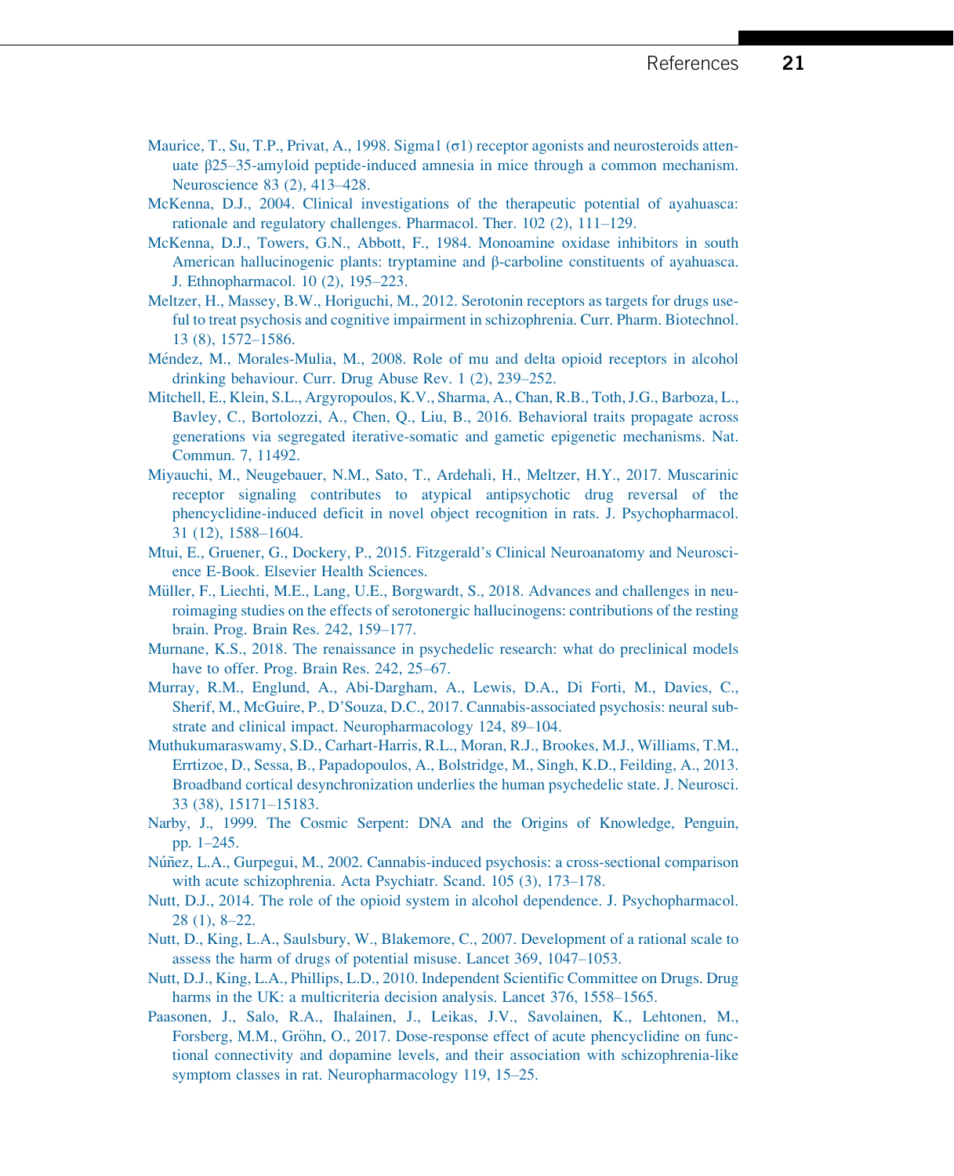- <span id="page-21-0"></span>[Maurice, T., Su, T.P., Privat, A., 1998. Sigma1 \(](http://refhub.elsevier.com/S0079-6123(18)30119-5/rf0310)σ[1\) receptor agonists and neurosteroids atten](http://refhub.elsevier.com/S0079-6123(18)30119-5/rf0310)[uate](http://refhub.elsevier.com/S0079-6123(18)30119-5/rf0310) β25–[35-amyloid peptide-induced amnesia in mice through a common mechanism.](http://refhub.elsevier.com/S0079-6123(18)30119-5/rf0310) [Neuroscience 83 \(2\), 413](http://refhub.elsevier.com/S0079-6123(18)30119-5/rf0310)–428.
- [McKenna, D.J., 2004. Clinical investigations of the therapeutic potential of ayahuasca:](http://refhub.elsevier.com/S0079-6123(18)30119-5/rf0315) [rationale and regulatory challenges. Pharmacol. Ther. 102 \(2\), 111](http://refhub.elsevier.com/S0079-6123(18)30119-5/rf0315)–129.
- [McKenna, D.J., Towers, G.N., Abbott, F., 1984. Monoamine oxidase inhibitors in south](http://refhub.elsevier.com/S0079-6123(18)30119-5/rf0320) [American hallucinogenic plants: tryptamine and](http://refhub.elsevier.com/S0079-6123(18)30119-5/rf0320) β[-carboline constituents of ayahuasca.](http://refhub.elsevier.com/S0079-6123(18)30119-5/rf0320) [J. Ethnopharmacol. 10 \(2\), 195](http://refhub.elsevier.com/S0079-6123(18)30119-5/rf0320)–223.
- [Meltzer, H., Massey, B.W., Horiguchi, M., 2012. Serotonin receptors as targets for drugs use](http://refhub.elsevier.com/S0079-6123(18)30119-5/rf0325)[ful to treat psychosis and cognitive impairment in schizophrenia. Curr. Pharm. Biotechnol.](http://refhub.elsevier.com/S0079-6123(18)30119-5/rf0325) [13 \(8\), 1572](http://refhub.elsevier.com/S0079-6123(18)30119-5/rf0325)–1586.
- [M](http://refhub.elsevier.com/S0079-6123(18)30119-5/rf0330)é[ndez, M., Morales-Mulia, M., 2008. Role of mu and delta opioid receptors in alcohol](http://refhub.elsevier.com/S0079-6123(18)30119-5/rf0330) [drinking behaviour. Curr. Drug Abuse Rev. 1 \(2\), 239](http://refhub.elsevier.com/S0079-6123(18)30119-5/rf0330)–252.
- [Mitchell, E., Klein, S.L., Argyropoulos, K.V., Sharma, A., Chan, R.B., Toth, J.G., Barboza, L.,](http://refhub.elsevier.com/S0079-6123(18)30119-5/rf0335) [Bavley, C., Bortolozzi, A., Chen, Q., Liu, B., 2016. Behavioral traits propagate across](http://refhub.elsevier.com/S0079-6123(18)30119-5/rf0335) [generations via segregated iterative-somatic and gametic epigenetic mechanisms. Nat.](http://refhub.elsevier.com/S0079-6123(18)30119-5/rf0335) [Commun. 7, 11492.](http://refhub.elsevier.com/S0079-6123(18)30119-5/rf0335)
- [Miyauchi, M., Neugebauer, N.M., Sato, T., Ardehali, H., Meltzer, H.Y., 2017. Muscarinic](http://refhub.elsevier.com/S0079-6123(18)30119-5/rf0340) [receptor signaling contributes to atypical antipsychotic drug reversal of the](http://refhub.elsevier.com/S0079-6123(18)30119-5/rf0340) [phencyclidine-induced deficit in novel object recognition in rats. J. Psychopharmacol.](http://refhub.elsevier.com/S0079-6123(18)30119-5/rf0340) [31 \(12\), 1588](http://refhub.elsevier.com/S0079-6123(18)30119-5/rf0340)–1604.
- [Mtui, E., Gruener, G., Dockery, P., 2015. Fitzgerald's Clinical Neuroanatomy and Neurosci](http://refhub.elsevier.com/S0079-6123(18)30119-5/rf0345)[ence E-Book. Elsevier Health Sciences.](http://refhub.elsevier.com/S0079-6123(18)30119-5/rf0345)
- [M](http://refhub.elsevier.com/S0079-6123(18)30119-5/rf9107)üller, F., Liechti, M.E., Lang, U.E., Borgwardt, S., 2018. Advances and challenges in neu[roimaging studies on the effects of serotonergic hallucinogens: contributions of the resting](http://refhub.elsevier.com/S0079-6123(18)30119-5/rf9107) [brain. Prog. Brain Res. 242, 159](http://refhub.elsevier.com/S0079-6123(18)30119-5/rf9107)–177.
- [Murnane, K.S., 2018. The renaissance in psychedelic research: what do preclinical models](http://refhub.elsevier.com/S0079-6123(18)30119-5/rf9108) [have to offer. Prog. Brain Res. 242, 25](http://refhub.elsevier.com/S0079-6123(18)30119-5/rf9108)–67.
- [Murray, R.M., Englund, A., Abi-Dargham, A., Lewis, D.A., Di Forti, M., Davies, C.,](http://refhub.elsevier.com/S0079-6123(18)30119-5/rf0350) [Sherif, M., McGuire, P., D'Souza, D.C., 2017. Cannabis-associated psychosis: neural sub](http://refhub.elsevier.com/S0079-6123(18)30119-5/rf0350)[strate and clinical impact. Neuropharmacology 124, 89](http://refhub.elsevier.com/S0079-6123(18)30119-5/rf0350)–104.
- [Muthukumaraswamy, S.D., Carhart-Harris, R.L., Moran, R.J., Brookes, M.J., Williams, T.M.,](http://refhub.elsevier.com/S0079-6123(18)30119-5/rf0355) [Errtizoe, D., Sessa, B., Papadopoulos, A., Bolstridge, M., Singh, K.D., Feilding, A., 2013.](http://refhub.elsevier.com/S0079-6123(18)30119-5/rf0355) [Broadband cortical desynchronization underlies the human psychedelic state. J. Neurosci.](http://refhub.elsevier.com/S0079-6123(18)30119-5/rf0355) [33 \(38\), 15171](http://refhub.elsevier.com/S0079-6123(18)30119-5/rf0355)–15183.
- [Narby, J., 1999. The Cosmic Serpent: DNA and the Origins of Knowledge, Penguin,](http://refhub.elsevier.com/S0079-6123(18)30119-5/rf0360) [pp. 1](http://refhub.elsevier.com/S0079-6123(18)30119-5/rf0360)–245.
- Núñez, L.A., Gurpegui, M., 2002. Cannabis-induced psychosis: a cross-sectional comparison [with acute schizophrenia. Acta Psychiatr. Scand. 105 \(3\), 173](http://refhub.elsevier.com/S0079-6123(18)30119-5/rf9109)–178.
- [Nutt, D.J., 2014. The role of the opioid system in alcohol dependence. J. Psychopharmacol.](http://refhub.elsevier.com/S0079-6123(18)30119-5/rf0365) [28 \(1\), 8](http://refhub.elsevier.com/S0079-6123(18)30119-5/rf0365)–22.
- [Nutt, D., King, L.A., Saulsbury, W., Blakemore, C., 2007. Development of a rational scale to](http://refhub.elsevier.com/S0079-6123(18)30119-5/rf9110) [assess the harm of drugs of potential misuse. Lancet 369, 1047](http://refhub.elsevier.com/S0079-6123(18)30119-5/rf9110)–1053.
- [Nutt, D.J., King, L.A., Phillips, L.D., 2010. Independent Scientific Committee on Drugs. Drug](http://refhub.elsevier.com/S0079-6123(18)30119-5/rf9111) [harms in the UK: a multicriteria decision analysis. Lancet 376, 1558](http://refhub.elsevier.com/S0079-6123(18)30119-5/rf9111)-1565.
- [Paasonen, J., Salo, R.A., Ihalainen, J., Leikas, J.V., Savolainen, K., Lehtonen, M.,](http://refhub.elsevier.com/S0079-6123(18)30119-5/rf0370) [Forsberg, M.M., Gr](http://refhub.elsevier.com/S0079-6123(18)30119-5/rf0370)ö[hn, O., 2017. Dose-response effect of acute phencyclidine on func](http://refhub.elsevier.com/S0079-6123(18)30119-5/rf0370)[tional connectivity and dopamine levels, and their association with schizophrenia-like](http://refhub.elsevier.com/S0079-6123(18)30119-5/rf0370) [symptom classes in rat. Neuropharmacology 119, 15](http://refhub.elsevier.com/S0079-6123(18)30119-5/rf0370)–25.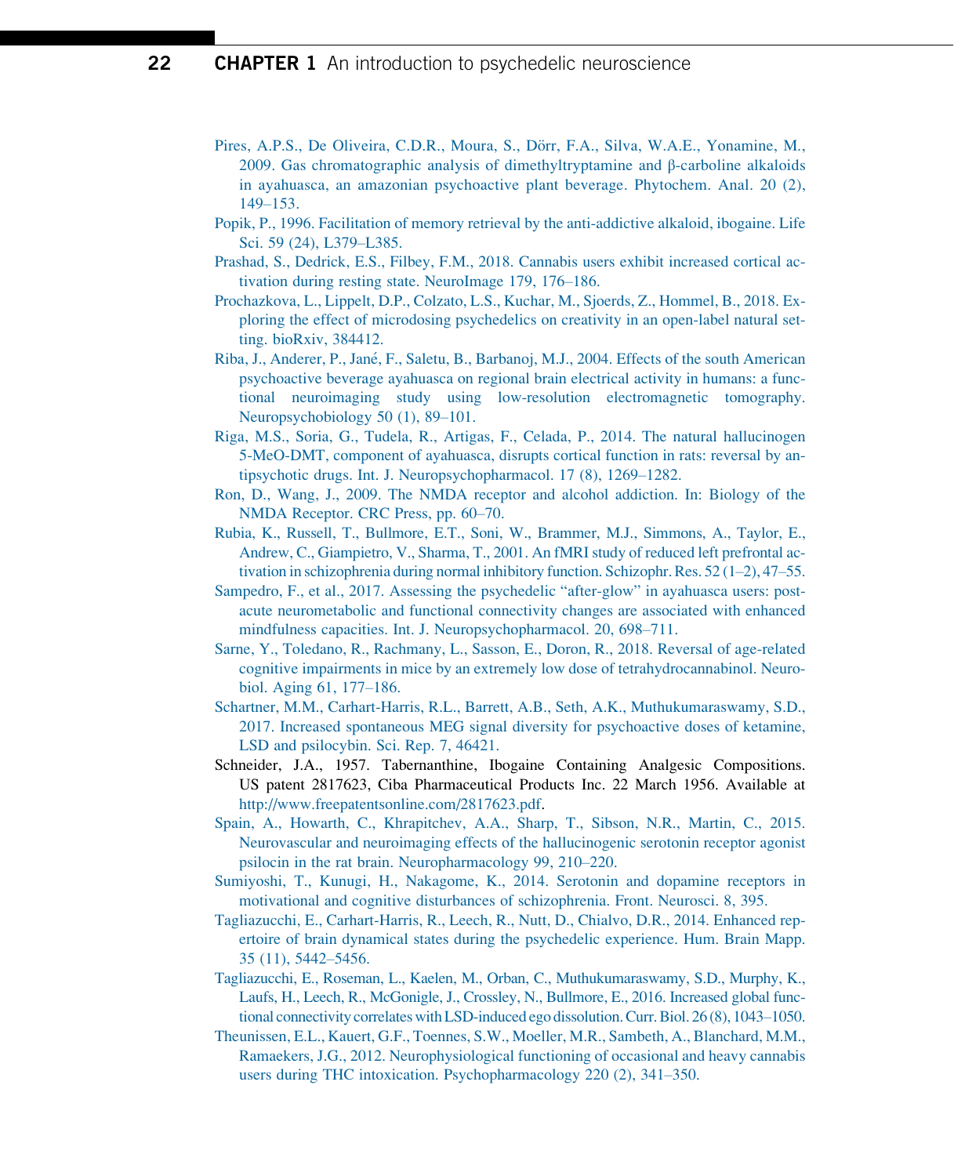- <span id="page-22-0"></span>[Pires, A.P.S., De Oliveira, C.D.R., Moura, S., D](http://refhub.elsevier.com/S0079-6123(18)30119-5/rf0375)ö[rr, F.A., Silva, W.A.E., Yonamine, M.,](http://refhub.elsevier.com/S0079-6123(18)30119-5/rf0375) [2009. Gas chromatographic analysis of dimethyltryptamine and](http://refhub.elsevier.com/S0079-6123(18)30119-5/rf0375) β[-carboline alkaloids](http://refhub.elsevier.com/S0079-6123(18)30119-5/rf0375) [in ayahuasca, an amazonian psychoactive plant beverage. Phytochem. Anal. 20 \(2\),](http://refhub.elsevier.com/S0079-6123(18)30119-5/rf0375) 149–[153.](http://refhub.elsevier.com/S0079-6123(18)30119-5/rf0375)
- [Popik, P., 1996. Facilitation of memory retrieval by the anti-addictive alkaloid, ibogaine. Life](http://refhub.elsevier.com/S0079-6123(18)30119-5/rf0380) [Sci. 59 \(24\), L379](http://refhub.elsevier.com/S0079-6123(18)30119-5/rf0380)–L385.
- [Prashad, S., Dedrick, E.S., Filbey, F.M., 2018. Cannabis users exhibit increased cortical ac](http://refhub.elsevier.com/S0079-6123(18)30119-5/rf0385)[tivation during resting state. NeuroImage 179, 176](http://refhub.elsevier.com/S0079-6123(18)30119-5/rf0385)–186.
- [Prochazkova, L., Lippelt, D.P., Colzato, L.S., Kuchar, M., Sjoerds, Z., Hommel, B., 2018. Ex](http://refhub.elsevier.com/S0079-6123(18)30119-5/rf0390)[ploring the effect of microdosing psychedelics on creativity in an open-label natural set](http://refhub.elsevier.com/S0079-6123(18)30119-5/rf0390)[ting. bioRxiv, 384412.](http://refhub.elsevier.com/S0079-6123(18)30119-5/rf0390)
- [Riba, J., Anderer, P., Jan](http://refhub.elsevier.com/S0079-6123(18)30119-5/rf0395)é, F., Saletu, B., Barbanoj, M.J., 2004. Effects of the south American [psychoactive beverage ayahuasca on regional brain electrical activity in humans: a func](http://refhub.elsevier.com/S0079-6123(18)30119-5/rf0395)[tional neuroimaging study using low-resolution electromagnetic tomography.](http://refhub.elsevier.com/S0079-6123(18)30119-5/rf0395) [Neuropsychobiology 50 \(1\), 89](http://refhub.elsevier.com/S0079-6123(18)30119-5/rf0395)–101.
- [Riga, M.S., Soria, G., Tudela, R., Artigas, F., Celada, P., 2014. The natural hallucinogen](http://refhub.elsevier.com/S0079-6123(18)30119-5/rf0400) [5-MeO-DMT, component of ayahuasca, disrupts cortical function in rats: reversal by an](http://refhub.elsevier.com/S0079-6123(18)30119-5/rf0400)[tipsychotic drugs. Int. J. Neuropsychopharmacol. 17 \(8\), 1269](http://refhub.elsevier.com/S0079-6123(18)30119-5/rf0400)–1282.
- [Ron, D., Wang, J., 2009. The NMDA receptor and alcohol addiction. In: Biology of the](http://refhub.elsevier.com/S0079-6123(18)30119-5/rf0405) [NMDA Receptor. CRC Press, pp. 60](http://refhub.elsevier.com/S0079-6123(18)30119-5/rf0405)–70.
- [Rubia, K., Russell, T., Bullmore, E.T., Soni, W., Brammer, M.J., Simmons, A., Taylor, E.,](http://refhub.elsevier.com/S0079-6123(18)30119-5/rf0410) [Andrew, C., Giampietro, V., Sharma, T., 2001. An fMRI study of reduced left prefrontal ac](http://refhub.elsevier.com/S0079-6123(18)30119-5/rf0410)[tivation in schizophrenia during normal inhibitory function. Schizophr. Res. 52 \(1](http://refhub.elsevier.com/S0079-6123(18)30119-5/rf0410)–2), 47–55.
- [Sampedro, F., et al., 2017. Assessing the psychedelic "after-glow" in ayahuasca users: post](http://refhub.elsevier.com/S0079-6123(18)30119-5/rf0415)[acute neurometabolic and functional connectivity changes are associated with enhanced](http://refhub.elsevier.com/S0079-6123(18)30119-5/rf0415) [mindfulness capacities. Int. J. Neuropsychopharmacol. 20, 698](http://refhub.elsevier.com/S0079-6123(18)30119-5/rf0415)–711.
- [Sarne, Y., Toledano, R., Rachmany, L., Sasson, E., Doron, R., 2018. Reversal of age-related](http://refhub.elsevier.com/S0079-6123(18)30119-5/rf0420) [cognitive impairments in mice by an extremely low dose of tetrahydrocannabinol. Neuro](http://refhub.elsevier.com/S0079-6123(18)30119-5/rf0420)[biol. Aging 61, 177](http://refhub.elsevier.com/S0079-6123(18)30119-5/rf0420)–186.
- [Schartner, M.M., Carhart-Harris, R.L., Barrett, A.B., Seth, A.K., Muthukumaraswamy, S.D.,](http://refhub.elsevier.com/S0079-6123(18)30119-5/rf0425) [2017. Increased spontaneous MEG signal diversity for psychoactive doses of ketamine,](http://refhub.elsevier.com/S0079-6123(18)30119-5/rf0425) [LSD and psilocybin. Sci. Rep. 7, 46421.](http://refhub.elsevier.com/S0079-6123(18)30119-5/rf0425)
- Schneider, J.A., 1957. Tabernanthine, Ibogaine Containing Analgesic Compositions. US patent 2817623, Ciba Pharmaceutical Products Inc. 22 March 1956. Available at <http://www.freepatentsonline.com/2817623.pdf>.
- [Spain, A., Howarth, C., Khrapitchev, A.A., Sharp, T., Sibson, N.R., Martin, C., 2015.](http://refhub.elsevier.com/S0079-6123(18)30119-5/rf0435) Neurovascular [and neuroimaging effects of the hallucinogenic serotonin receptor agonist](http://refhub.elsevier.com/S0079-6123(18)30119-5/rf0435) [psilocin in the rat brain. Neuropharmacology 99, 210](http://refhub.elsevier.com/S0079-6123(18)30119-5/rf0435)–220.
- [Sumiyoshi, T., Kunugi, H., Nakagome, K., 2014. Serotonin and dopamine receptors in](http://refhub.elsevier.com/S0079-6123(18)30119-5/rf0440) [motivational and cognitive disturbances of schizophrenia. Front. Neurosci. 8, 395.](http://refhub.elsevier.com/S0079-6123(18)30119-5/rf0440)
- [Tagliazucchi, E., Carhart-Harris, R., Leech, R., Nutt, D., Chialvo, D.R., 2014. Enhanced rep](http://refhub.elsevier.com/S0079-6123(18)30119-5/rf0445)[ertoire of brain dynamical states during the psychedelic experience. Hum. Brain Mapp.](http://refhub.elsevier.com/S0079-6123(18)30119-5/rf0445) [35 \(11\), 5442](http://refhub.elsevier.com/S0079-6123(18)30119-5/rf0445)–5456.
- [Tagliazucchi, E., Roseman, L., Kaelen, M., Orban, C., Muthukumaraswamy, S.D., Murphy, K.,](http://refhub.elsevier.com/S0079-6123(18)30119-5/rf0450) [Laufs, H., Leech, R., McGonigle, J., Crossley, N., Bullmore, E., 2016. Increased global func](http://refhub.elsevier.com/S0079-6123(18)30119-5/rf0450)[tional connectivity correlates with LSD-induced ego dissolution. Curr. Biol. 26 \(8\), 1043](http://refhub.elsevier.com/S0079-6123(18)30119-5/rf0450)–1050.
- [Theunissen, E.L., Kauert, G.F., Toennes, S.W., Moeller, M.R., Sambeth, A., Blanchard, M.M.,](http://refhub.elsevier.com/S0079-6123(18)30119-5/rf0455) [Ramaekers, J.G., 2012. Neurophysiological functioning of occasional and heavy cannabis](http://refhub.elsevier.com/S0079-6123(18)30119-5/rf0455) [users during THC intoxication. Psychopharmacology 220 \(2\), 341](http://refhub.elsevier.com/S0079-6123(18)30119-5/rf0455)–350.